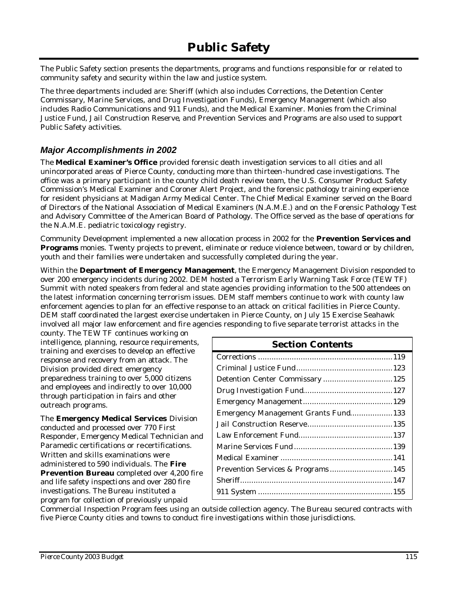# **Public Safety**

The Public Safety section presents the departments, programs and functions responsible for or related to community safety and security within the law and justice system.

The three departments included are: Sheriff (which also includes Corrections, the Detention Center Commissary, Marine Services, and Drug Investigation Funds), Emergency Management (which also includes Radio Communications and 911 Funds), and the Medical Examiner. Monies from the Criminal Justice Fund, Jail Construction Reserve, and Prevention Services and Programs are also used to support Public Safety activities.

### *Major Accomplishments in 2002*

The **Medical Examiner's Office** provided forensic death investigation services to all cities and all unincorporated areas of Pierce County, conducting more than thirteen-hundred case investigations. The office was a primary participant in the county child death review team, the U.S. Consumer Product Safety Commission's Medical Examiner and Coroner Alert Project, and the forensic pathology training experience for resident physicians at Madigan Army Medical Center. The Chief Medical Examiner served on the Board of Directors of the National Association of Medical Examiners (N.A.M.E.) and on the Forensic Pathology Test and Advisory Committee of the American Board of Pathology. The Office served as the base of operations for the N.A.M.E. pediatric toxicology registry.

Community Development implemented a new allocation process in 2002 for the **Prevention Services and Programs** monies. Twenty projects to prevent, eliminate or reduce violence between, toward or by children, youth and their families were undertaken and successfully completed during the year.

Within the **Department of Emergency Management**, the Emergency Management Division responded to over 200 emergency incidents during 2002. DEM hosted a Terrorism Early Warning Task Force (TEW TF) Summit with noted speakers from federal and state agencies providing information to the 500 attendees on the latest information concerning terrorism issues. DEM staff members continue to work with county law enforcement agencies to plan for an effective response to an attack on critical facilities in Pierce County. DEM staff coordinated the largest exercise undertaken in Pierce County, on July 15 Exercise Seahawk involved all major law enforcement and fire agencies responding to five separate terrorist attacks in the

county. The TEW TF continues working on intelligence, planning, resource requirements, training and exercises to develop an effective response and recovery from an attack. The Division provided direct emergency preparedness training to over 5,000 citizens and employees and indirectly to over 10,000 through participation in fairs and other outreach programs.

The **Emergency Medical Services** Division conducted and processed over 770 First Responder, Emergency Medical Technician and Paramedic certifications or re-certifications. Written and skills examinations were administered to 590 individuals. The **Fire Prevention Bureau** completed over 4,200 fire and life safety inspections and over 280 fire investigations. The Bureau instituted a program for collection of previously unpaid

| <b>Section Contents</b>              |  |
|--------------------------------------|--|
|                                      |  |
|                                      |  |
|                                      |  |
|                                      |  |
|                                      |  |
| Emergency Management Grants Fund 133 |  |
|                                      |  |
|                                      |  |
|                                      |  |
|                                      |  |
| Prevention Services & Programs 145   |  |
|                                      |  |
|                                      |  |

Commercial Inspection Program fees using an outside collection agency. The Bureau secured contracts with five Pierce County cities and towns to conduct fire investigations within those jurisdictions.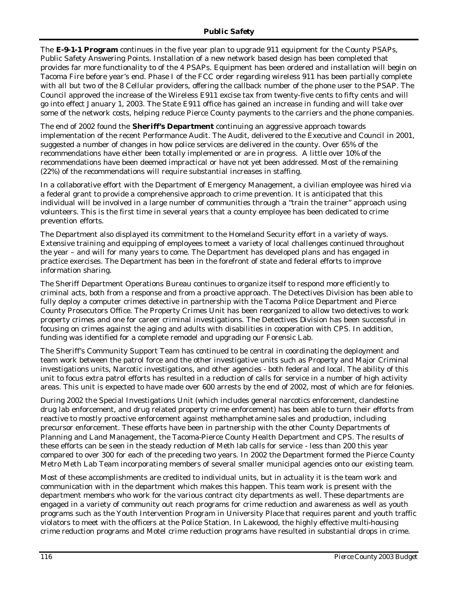The **E-9-1-1 Program** continues in the five year plan to upgrade 911 equipment for the County PSAPs, Public Safety Answering Points. Installation of a new network based design has been completed that provides far more functionality to of the 4 PSAPs. Equipment has been ordered and installation will begin on Tacoma Fire before year's end. Phase I of the FCC order regarding wireless 911 has been partially complete with all but two of the 8 Cellular providers, offering the callback number of the phone user to the PSAP. The Council approved the increase of the Wireless E911 excise tax from twenty-five cents to fifty cents and will go into effect January 1, 2003. The State E911 office has gained an increase in funding and will take over some of the network costs, helping reduce Pierce County payments to the carriers and the phone companies.

The end of 2002 found the **Sheriff's Department** continuing an aggressive approach towards implementation of the recent Performance Audit. The Audit, delivered to the Executive and Council in 2001, suggested a number of changes in how police services are delivered in the county. Over 65% of the recommendations have either been totally implemented or are in progress. A little over 10% of the recommendations have been deemed impractical or have not yet been addressed. Most of the remaining (22%) of the recommendations will require substantial increases in staffing.

In a collaborative effort with the Department of Emergency Management, a civilian employee was hired via a federal grant to provide a comprehensive approach to crime prevention. It is anticipated that this individual will be involved in a large number of communities through a "train the trainer" approach using volunteers. This is the first time in several years that a county employee has been dedicated to crime prevention efforts.

The Department also displayed its commitment to the Homeland Security effort in a variety of ways. Extensive training and equipping of employees to meet a variety of local challenges continued throughout the year – and will for many years to come. The Department has developed plans and has engaged in practice exercises. The Department has been in the forefront of state and federal efforts to improve information sharing.

The Sheriff Department Operations Bureau continues to organize itself to respond more efficiently to criminal acts, both from a response and from a proactive approach. The Detectives Division has been able to fully deploy a computer crimes detective in partnership with the Tacoma Police Department and Pierce County Prosecutors Office. The Property Crimes Unit has been reorganized to allow two detectives to work property crimes and one for career criminal investigations. The Detectives Division has been successful in focusing on crimes against the aging and adults with disabilities in cooperation with CPS. In addition, funding was identified for a complete remodel and upgrading our Forensic Lab.

The Sheriff's Community Support Team has continued to be central in coordinating the deployment and team work between the patrol force and the other investigative units such as Property and Major Criminal investigations units, Narcotic investigations, and other agencies - both federal and local. The ability of this unit to focus extra patrol efforts has resulted in a reduction of calls for service in a number of high activity areas. This unit is expected to have made over 600 arrests by the end of 2002, most of which are for felonies.

During 2002 the Special Investigations Unit (which includes general narcotics enforcement, clandestine drug lab enforcement, and drug related property crime enforcement) has been able to turn their efforts from reactive to mostly proactive enforcement against methamphetamine sales and production, including precursor enforcement. These efforts have been in partnership with the other County Departments of Planning and Land Management, the Tacoma-Pierce County Health Department and CPS. The results of these efforts can be seen in the steady reduction of Meth lab calls for service - less than 200 this year compared to over 300 for each of the preceding two years. In 2002 the Department formed the Pierce County Metro Meth Lab Team incorporating members of several smaller municipal agencies onto our existing team.

Most of these accomplishments are credited to individual units, but in actuality it is the team work and communication with in the department which makes this happen. This team work is present with the department members who work for the various contract city departments as well. These departments are engaged in a variety of community out reach programs for crime reduction and awareness as well as youth programs such as the Youth Intervention Program in University Place that requires parent and youth traffic violators to meet with the officers at the Police Station. In Lakewood, the highly effective multi-housing crime reduction programs and Motel crime reduction programs have resulted in substantial drops in crime.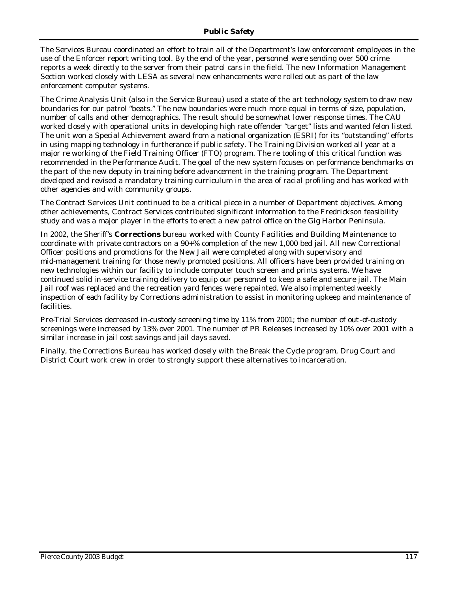The Services Bureau coordinated an effort to train all of the Department's law enforcement employees in the use of the Enforcer report writing tool. By the end of the year, personnel were sending over 500 crime reports a week directly to the server from their patrol cars in the field. The new Information Management Section worked closely with LESA as several new enhancements were rolled out as part of the law enforcement computer systems.

The Crime Analysis Unit (also in the Service Bureau) used a state of the art technology system to draw new boundaries for our patrol "beats." The new boundaries were much more equal in terms of size, population, number of calls and other demographics. The result should be somewhat lower response times. The CAU worked closely with operational units in developing high rate offender "target" lists and wanted felon listed. The unit won a Special Achievement award from a national organization (ESRI) for its "outstanding" efforts in using mapping technology in furtherance if public safety. The Training Division worked all year at a major re working of the Field Training Officer (FTO) program. The re tooling of this critical function was recommended in the Performance Audit. The goal of the new system focuses on performance benchmarks on the part of the new deputy in training before advancement in the training program. The Department developed and revised a mandatory training curriculum in the area of racial profiling and has worked with other agencies and with community groups.

The Contract Services Unit continued to be a critical piece in a number of Department objectives. Among other achievements, Contract Services contributed significant information to the Fredrickson feasibility study and was a major player in the efforts to erect a new patrol office on the Gig Harbor Peninsula.

In 2002, the Sheriff's **Corrections** bureau worked with County Facilities and Building Maintenance to coordinate with private contractors on a 90+% completion of the new 1,000 bed jail. All new Correctional Officer positions and promotions for the New Jail were completed along with supervisory and mid-management training for those newly promoted positions. All officers have been provided training on new technologies within our facility to include computer touch screen and prints systems. We have continued solid in-service training delivery to equip our personnel to keep a safe and secure jail. The Main Jail roof was replaced and the recreation yard fences were repainted. We also implemented weekly inspection of each facility by Corrections administration to assist in monitoring upkeep and maintenance of facilities.

Pre-Trial Services decreased in-custody screening time by 11% from 2001; the number of out-of-custody screenings were increased by 13% over 2001. The number of PR Releases increased by 10% over 2001 with a similar increase in jail cost savings and jail days saved.

Finally, the Corrections Bureau has worked closely with the Break the Cycle program, Drug Court and District Court work crew in order to strongly support these alternatives to incarceration.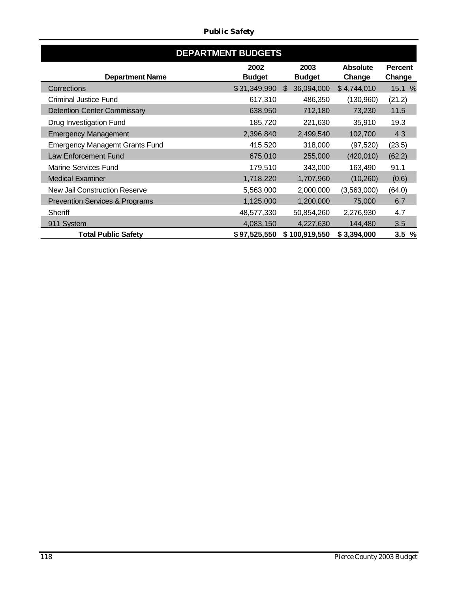|                                           | <b>DEPARTMENT BUDGETS</b> |                             |                 |                |
|-------------------------------------------|---------------------------|-----------------------------|-----------------|----------------|
|                                           | 2002                      | 2003                        | <b>Absolute</b> | <b>Percent</b> |
| <b>Department Name</b>                    | <b>Budget</b>             | <b>Budget</b>               | Change          | Change         |
| Corrections                               | \$31,349,990              | 36,094,000<br><sup>\$</sup> | \$4,744,010     | 15.1 %         |
| <b>Criminal Justice Fund</b>              | 617,310                   | 486,350                     | (130,960)       | (21.2)         |
| <b>Detention Center Commissary</b>        | 638,950                   | 712,180                     | 73,230          | 11.5           |
| Drug Investigation Fund                   | 185,720                   | 221,630                     | 35,910          | 19.3           |
| <b>Emergency Management</b>               | 2,396,840                 | 2,499,540                   | 102,700         | 4.3            |
| <b>Emergency Managemt Grants Fund</b>     | 415,520                   | 318,000                     | (97, 520)       | (23.5)         |
| Law Enforcement Fund                      | 675,010                   | 255,000                     | (420, 010)      | (62.2)         |
| <b>Marine Services Fund</b>               | 179,510                   | 343,000                     | 163,490         | 91.1           |
| <b>Medical Examiner</b>                   | 1,718,220                 | 1,707,960                   | (10,260)        | (0.6)          |
| New Jail Construction Reserve             | 5,563,000                 | 2,000,000                   | (3,563,000)     | (64.0)         |
| <b>Prevention Services &amp; Programs</b> | 1,125,000                 | 1,200,000                   | 75,000          | 6.7            |
| <b>Sheriff</b>                            | 48,577,330                | 50,854,260                  | 2,276,930       | 4.7            |
| 911 System                                | 4,083,150                 | 4,227,630                   | 144,480         | 3.5            |
| <b>Total Public Safety</b>                | \$97,525,550              | \$100,919,550               | \$3,394,000     | 3.5%           |

### *Public Safety*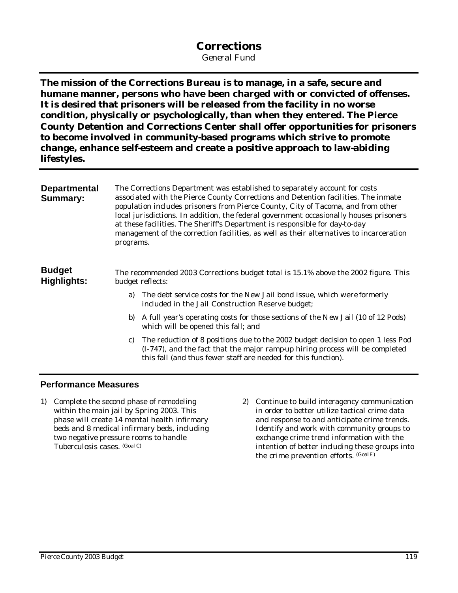# **Corrections**

*General Fund*

**The mission of the Corrections Bureau is to manage, in a safe, secure and humane manner, persons who have been charged with or convicted of offenses. It is desired that prisoners will be released from the facility in no worse condition, physically or psychologically, than when they entered. The Pierce County Detention and Corrections Center shall offer opportunities for prisoners to become involved in community-based programs which strive to promote change, enhance self-esteem and create a positive approach to law-abiding lifestyles.**

| The Corrections Department was established to separately account for costs<br>associated with the Pierce County Corrections and Detention facilities. The inmate<br>population includes prisoners from Pierce County, City of Tacoma, and from other<br>local jurisdictions. In addition, the federal government occasionally houses prisoners<br>at these facilities. The Sheriff's Department is responsible for day-to-day<br>management of the correction facilities, as well as their alternatives to incarceration<br>programs. |
|---------------------------------------------------------------------------------------------------------------------------------------------------------------------------------------------------------------------------------------------------------------------------------------------------------------------------------------------------------------------------------------------------------------------------------------------------------------------------------------------------------------------------------------|
| The recommended 2003 Corrections budget total is 15.1% above the 2002 figure. This<br>budget reflects:                                                                                                                                                                                                                                                                                                                                                                                                                                |
| The debt service costs for the New Jail bond issue, which were formerly<br>a)<br>included in the Jail Construction Reserve budget;                                                                                                                                                                                                                                                                                                                                                                                                    |
| A full year's operating costs for those sections of the New Jail (10 of 12 Pods)<br>b)<br>which will be opened this fall; and                                                                                                                                                                                                                                                                                                                                                                                                         |
| The reduction of 8 positions due to the 2002 budget decision to open 1 less Pod<br>C)<br>(I-747), and the fact that the major rampup hiring process will be completed<br>this fall (and thus fewer staff are needed for this function).                                                                                                                                                                                                                                                                                               |
|                                                                                                                                                                                                                                                                                                                                                                                                                                                                                                                                       |

### **Performance Measures**

- 1) Complete the second phase of remodeling within the main jail by Spring 2003. This phase will create 14 mental health infirmary beds and 8 medical infirmary beds, including two negative pressure rooms to handle Tuberculosis cases. (Goal C)
- 2) Continue to build interagency communication in order to better utilize tactical crime data and response to and anticipate crime trends. Identify and work with community groups to exchange crime trend information with the intention of better including these groups into the crime prevention efforts. (GoalE)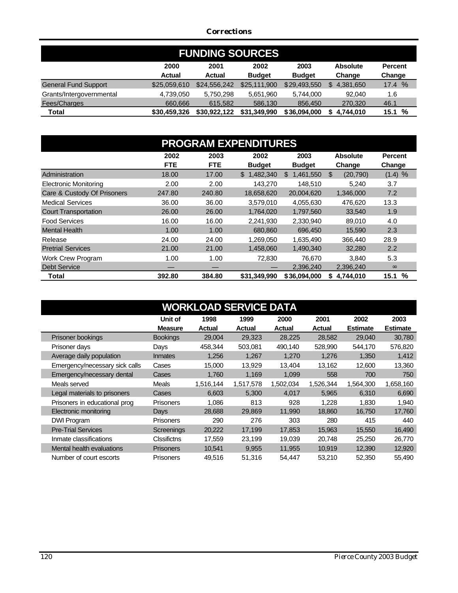### *Corrections*

| <b>FUNDING SOURCES</b>      |              |               |               |               |                 |                |  |
|-----------------------------|--------------|---------------|---------------|---------------|-----------------|----------------|--|
|                             | 2000         | 2001          | 2002          | 2003          | <b>Absolute</b> | <b>Percent</b> |  |
|                             | Actual       | <b>Actual</b> | <b>Budget</b> | <b>Budget</b> | Change          | Change         |  |
| <b>General Fund Support</b> | \$25,059,610 | \$24,556,242  | \$25,111,900  | \$29,493,550  | 4,381,650<br>\$ | 17.4 %         |  |
| Grants/Intergovernmental    | 4,739,050    | 5.750.298     | 5.651.960     | 5.744.000     | 92.040          | 1.6            |  |
| Fees/Charges                | 660,666      | 615,582       | 586.130       | 856,450       | 270,320         | 46.1           |  |
| Total                       | \$30,459,326 | \$30.922.122  | \$31,349,990  | \$36,094,000  | 4,744,010<br>S  | 15.1%          |  |

| <b>PROGRAM EXPENDITURES</b>  |            |            |               |                  |                 |                |
|------------------------------|------------|------------|---------------|------------------|-----------------|----------------|
|                              | 2002       | 2003       | 2002          | 2003             | <b>Absolute</b> | <b>Percent</b> |
|                              | <b>FTE</b> | <b>FTE</b> | <b>Budget</b> | <b>Budget</b>    | Change          | Change         |
| Administration               | 18.00      | 17.00      | \$1.482,340   | 1,461,550<br>\$. | \$<br>(20, 790) | (1.4) %        |
| <b>Electronic Monitoring</b> | 2.00       | 2.00       | 143.270       | 148.510          | 5.240           | 3.7            |
| Care & Custody Of Prisoners  | 247.80     | 240.80     | 18,658,620    | 20,004,620       | 1,346,000       | 7.2            |
| <b>Medical Services</b>      | 36.00      | 36.00      | 3.579.010     | 4.055.630        | 476.620         | 13.3           |
| <b>Court Transportation</b>  | 26.00      | 26.00      | 1,764,020     | 1,797,560        | 33,540          | 1.9            |
| <b>Food Services</b>         | 16.00      | 16.00      | 2,241,930     | 2,330,940        | 89,010          | 4.0            |
| <b>Mental Health</b>         | 1.00       | 1.00       | 680,860       | 696,450          | 15,590          | 2.3            |
| Release                      | 24.00      | 24.00      | 1,269,050     | 1,635,490        | 366,440         | 28.9           |
| <b>Pretrial Services</b>     | 21.00      | 21.00      | 1,458,060     | 1.490.340        | 32,280          | 2.2            |
| <b>Work Crew Program</b>     | 1.00       | 1.00       | 72,830        | 76,670           | 3,840           | 5.3            |
| <b>Debt Service</b>          |            |            |               | 2,396,240        | 2,396,240       | $\infty$       |
| Total                        | 392.80     | 384.80     | \$31,349,990  | \$36,094,000     | 4.744.010<br>S  | %<br>15.1      |

|                                |                    | <b>WORKLOAD SERVICE DATA</b> |           |           |           |                 |                 |
|--------------------------------|--------------------|------------------------------|-----------|-----------|-----------|-----------------|-----------------|
|                                | Unit of            | 1998                         | 1999      | 2000      | 2001      | 2002            | 2003            |
|                                | <b>Measure</b>     | <b>Actual</b>                | Actual    | Actual    | Actual    | <b>Estimate</b> | <b>Estimate</b> |
| Prisoner bookings              | <b>Bookings</b>    | 29,004                       | 29,323    | 28,225    | 28,582    | 29,040          | 30,780          |
| Prisoner days                  | Days               | 458,344                      | 503,081   | 490,140   | 528,990   | 544,170         | 576,820         |
| Average daily population       | <b>Inmates</b>     | 1,256                        | 1,267     | 1,270     | 1,276     | 1,350           | 1,412           |
| Emergency/necessary sick calls | Cases              | 15,000                       | 13,929    | 13,404    | 13,162    | 12,600          | 13,360          |
| Emergency/necessary dental     | Cases              | 1,760                        | 1,169     | 1,099     | 558       | 700             | 750             |
| Meals served                   | <b>Meals</b>       | 1,516,144                    | 1,517,578 | 1,502,034 | 1,526,344 | 1,564,300       | 1,658,160       |
| Legal materials to prisoners   | Cases              | 6,603                        | 5,300     | 4,017     | 5,965     | 6,310           | 6,690           |
| Prisoners in educational prog  | <b>Prisoners</b>   | 1,086                        | 813       | 928       | 1,228     | 1,830           | 1,940           |
| Electronic monitoring          | Days               | 28,688                       | 29,869    | 11,990    | 18,860    | 16,750          | 17,760          |
| DWI Program                    | <b>Prisoners</b>   | 290                          | 276       | 303       | 280       | 415             | 440             |
| <b>Pre-Trial Services</b>      | Screenings         | 20,222                       | 17,199    | 17.853    | 15,963    | 15,550          | 16,490          |
| Inmate classifications         | <b>Clssifictns</b> | 17,559                       | 23,199    | 19,039    | 20,748    | 25,250          | 26,770          |
| Mental health evaluations      | <b>Prisoners</b>   | 10,541                       | 9,955     | 11,955    | 10,919    | 12,390          | 12,920          |
| Number of court escorts        | <b>Prisoners</b>   | 49,516                       | 51,316    | 54,447    | 53,210    | 52,350          | 55,490          |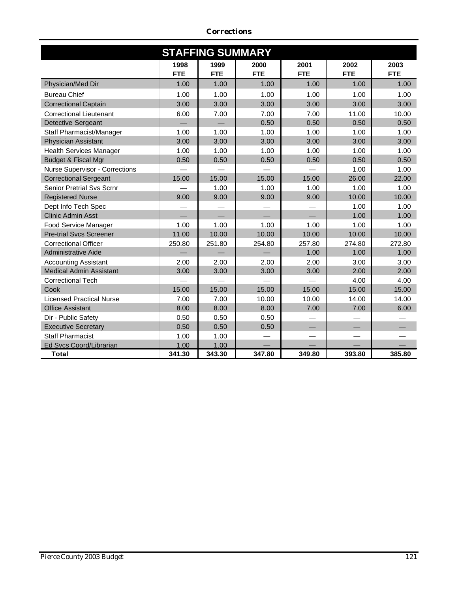|                                 |            | <b>STAFFING SUMMARY</b> |            |            |            |            |
|---------------------------------|------------|-------------------------|------------|------------|------------|------------|
|                                 | 1998       | 1999                    | 2000       | 2001       | 2002       | 2003       |
|                                 | <b>FTE</b> | <b>FTE</b>              | <b>FTE</b> | <b>FTE</b> | <b>FTE</b> | <b>FTE</b> |
| Physician/Med Dir               | 1.00       | 1.00                    | 1.00       | 1.00       | 1.00       | 1.00       |
| <b>Bureau Chief</b>             | 1.00       | 1.00                    | 1.00       | 1.00       | 1.00       | 1.00       |
| <b>Correctional Captain</b>     | 3.00       | 3.00                    | 3.00       | 3.00       | 3.00       | 3.00       |
| <b>Correctional Lieutenant</b>  | 6.00       | 7.00                    | 7.00       | 7.00       | 11.00      | 10.00      |
| <b>Detective Sergeant</b>       |            |                         | 0.50       | 0.50       | 0.50       | 0.50       |
| Staff Pharmacist/Manager        | 1.00       | 1.00                    | 1.00       | 1.00       | 1.00       | 1.00       |
| <b>Physician Assistant</b>      | 3.00       | 3.00                    | 3.00       | 3.00       | 3.00       | 3.00       |
| <b>Health Services Manager</b>  | 1.00       | 1.00                    | 1.00       | 1.00       | 1.00       | 1.00       |
| Budget & Fiscal Mgr             | 0.50       | 0.50                    | 0.50       | 0.50       | 0.50       | 0.50       |
| Nurse Supervisor - Corrections  |            |                         |            |            | 1.00       | 1.00       |
| <b>Correctional Sergeant</b>    | 15.00      | 15.00                   | 15.00      | 15.00      | 26.00      | 22.00      |
| Senior Pretrial Sys Scrnr       |            | 1.00                    | 1.00       | 1.00       | 1.00       | 1.00       |
| <b>Registered Nurse</b>         | 9.00       | 9.00                    | 9.00       | 9.00       | 10.00      | 10.00      |
| Dept Info Tech Spec             |            |                         |            |            | 1.00       | 1.00       |
| <b>Clinic Admin Asst</b>        |            |                         |            |            | 1.00       | 1.00       |
| Food Service Manager            | 1.00       | 1.00                    | 1.00       | 1.00       | 1.00       | 1.00       |
| <b>Pre-trial Svcs Screener</b>  | 11.00      | 10.00                   | 10.00      | 10.00      | 10.00      | 10.00      |
| <b>Correctional Officer</b>     | 250.80     | 251.80                  | 254.80     | 257.80     | 274.80     | 272.80     |
| <b>Administrative Aide</b>      |            |                         |            | 1.00       | 1.00       | 1.00       |
| <b>Accounting Assistant</b>     | 2.00       | 2.00                    | 2.00       | 2.00       | 3.00       | 3.00       |
| <b>Medical Admin Assistant</b>  | 3.00       | 3.00                    | 3.00       | 3.00       | 2.00       | 2.00       |
| <b>Correctional Tech</b>        |            |                         |            |            | 4.00       | 4.00       |
| Cook                            | 15.00      | 15.00                   | 15.00      | 15.00      | 15.00      | 15.00      |
| <b>Licensed Practical Nurse</b> | 7.00       | 7.00                    | 10.00      | 10.00      | 14.00      | 14.00      |
| <b>Office Assistant</b>         | 8.00       | 8.00                    | 8.00       | 7.00       | 7.00       | 6.00       |
| Dir - Public Safety             | 0.50       | 0.50                    | 0.50       |            |            |            |
| <b>Executive Secretary</b>      | 0.50       | 0.50                    | 0.50       |            |            |            |
| <b>Staff Pharmacist</b>         | 1.00       | 1.00                    |            |            |            |            |
| Ed Svcs Coord/Librarian         | 1.00       | 1.00                    |            |            |            |            |
| <b>Total</b>                    | 341.30     | 343.30                  | 347.80     | 349.80     | 393.80     | 385.80     |

*Corrections*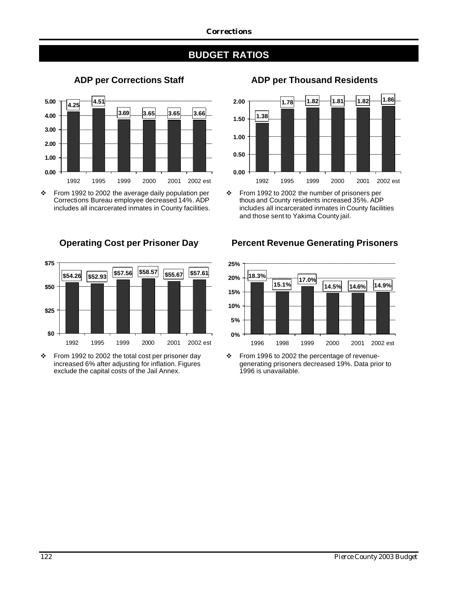## **BUDGET RATIOS**



v From 1992 to 2002 the average daily population per Corrections Bureau employee decreased 14%. ADP includes all incarcerated inmates in County facilities.



 $\div$  From 1992 to 2002 the total cost per prisoner day increased 6% after adjusting for inflation. Figures exclude the capital costs of the Jail Annex.

### **ADP per Corrections Staff ADP per Thousand Residents**



v From 1992 to 2002 the number of prisoners per thous and County residents increased 35%. ADP includes all incarcerated inmates in County facilities and those sent to Yakima County jail.

### **Operating Cost per Prisoner Day Percent Revenue Generating Prisoners**



 $\div$  From 1996 to 2002 the percentage of revenuegenerating prisoners decreased 19%. Data prior to 1996 is unavailable.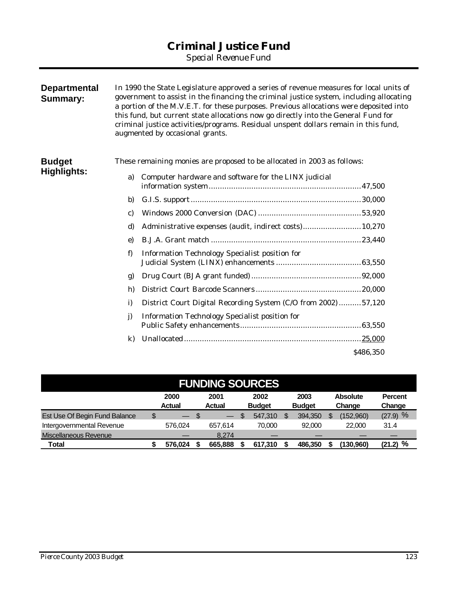## **Criminal Justice Fund**

*Special Revenue Fund*

| <b>Departmental</b><br><b>Summary:</b> |              | In 1990 the State Legislature approved a series of revenue measures for local units of<br>government to assist in the financing the criminal justice system, including allocating<br>a portion of the M.V.E.T. for these purposes. Previous allocations were deposited into<br>this fund, but current state allocations now go directly into the General Fund for<br>criminal justice activities/programs. Residual unspent dollars remain in this fund,<br>augmented by occasional grants. |           |
|----------------------------------------|--------------|---------------------------------------------------------------------------------------------------------------------------------------------------------------------------------------------------------------------------------------------------------------------------------------------------------------------------------------------------------------------------------------------------------------------------------------------------------------------------------------------|-----------|
| <b>Budget</b>                          |              | These remaining monies are proposed to be allocated in 2003 as follows:                                                                                                                                                                                                                                                                                                                                                                                                                     |           |
| <b>Highlights:</b>                     | a)           | Computer hardware and software for the LINX judicial                                                                                                                                                                                                                                                                                                                                                                                                                                        |           |
|                                        | b)           |                                                                                                                                                                                                                                                                                                                                                                                                                                                                                             |           |
|                                        | C)           |                                                                                                                                                                                                                                                                                                                                                                                                                                                                                             |           |
|                                        | d)           | Administrative expenses (audit, indirect costs) 10,270                                                                                                                                                                                                                                                                                                                                                                                                                                      |           |
|                                        | e)           |                                                                                                                                                                                                                                                                                                                                                                                                                                                                                             |           |
|                                        | f)           | Information Technology Specialist position for                                                                                                                                                                                                                                                                                                                                                                                                                                              |           |
|                                        | g)           |                                                                                                                                                                                                                                                                                                                                                                                                                                                                                             |           |
|                                        | h)           |                                                                                                                                                                                                                                                                                                                                                                                                                                                                                             |           |
|                                        | i)           | District Court Digital Recording System (C/O from 2002)57,120                                                                                                                                                                                                                                                                                                                                                                                                                               |           |
|                                        | $\mathbf{j}$ | <b>Information Technology Specialist position for</b>                                                                                                                                                                                                                                                                                                                                                                                                                                       |           |
|                                        | $\bf k$      |                                                                                                                                                                                                                                                                                                                                                                                                                                                                                             |           |
|                                        |              |                                                                                                                                                                                                                                                                                                                                                                                                                                                                                             | \$486,350 |

| <b>FUNDING SOURCES</b>        |    |                          |      |                       |    |                       |  |                       |                           |                          |
|-------------------------------|----|--------------------------|------|-----------------------|----|-----------------------|--|-----------------------|---------------------------|--------------------------|
|                               |    | 2000<br>Actual           |      | 2001<br><b>Actual</b> |    | 2002<br><b>Budget</b> |  | 2003<br><b>Budget</b> | <b>Absolute</b><br>Change | <b>Percent</b><br>Change |
| Est Use Of Begin Fund Balance | \$ | $\overline{\phantom{0}}$ | - \$ |                       | \$ | 547,310               |  | 394.350               | (152,960)                 | $(27.9)$ %               |
| Intergovernmental Revenue     |    | 576.024                  |      | 657.614               |    | 70.000                |  | 92,000                | 22,000                    | 31.4                     |
| Miscellaneous Revenue         |    |                          |      | 8.274                 |    |                       |  |                       |                           |                          |
| Total                         |    | 576.024                  |      | 665.888               |    | 617.310               |  | 486.350               | (130.960)                 | $(21.2)$ %               |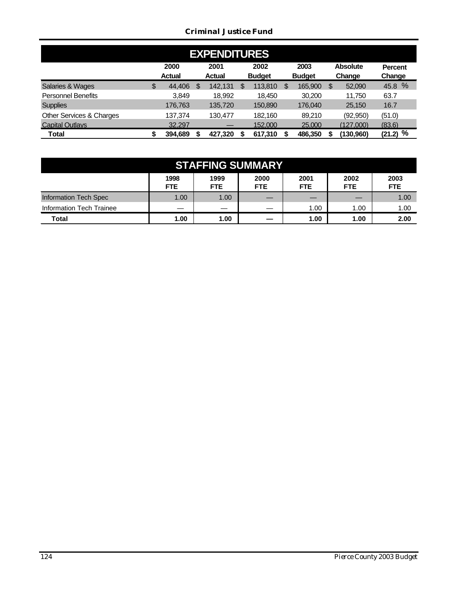### *Criminal Justice Fund*

| <b>EXPENDITURES</b>       |    |                       |   |                       |    |                       |  |                       |   |                           |                          |
|---------------------------|----|-----------------------|---|-----------------------|----|-----------------------|--|-----------------------|---|---------------------------|--------------------------|
|                           |    | 2000<br><b>Actual</b> |   | 2001<br><b>Actual</b> |    | 2002<br><b>Budget</b> |  | 2003<br><b>Budget</b> |   | <b>Absolute</b><br>Change | <b>Percent</b><br>Change |
| Salaries & Wages          | \$ | 44,406                | S | 142,131               | \$ | 113,810               |  | 165,900               | S | 52,090                    | 45.8 %                   |
| <b>Personnel Benefits</b> |    | 3,849                 |   | 18.992                |    | 18,450                |  | 30,200                |   | 11.750                    | 63.7                     |
| <b>Supplies</b>           |    | 176,763               |   | 135,720               |    | 150,890               |  | 176.040               |   | 25,150                    | 16.7                     |
| Other Services & Charges  |    | 137.374               |   | 130.477               |    | 182.160               |  | 89.210                |   | (92, 950)                 | (51.0)                   |
| <b>Capital Outlays</b>    |    | 32.297                |   |                       |    | 152,000               |  | 25,000                |   | (127.000)                 | (83.6)                   |
| Total                     | \$ | 394,689               |   | 427,320               |    | 617,310               |  | 486,350               |   | (130,960)                 | %<br>(21.2)              |

| <b>STAFFING SUMMARY</b>  |                    |                    |                    |                    |                    |                    |
|--------------------------|--------------------|--------------------|--------------------|--------------------|--------------------|--------------------|
|                          | 1998<br><b>FTE</b> | 1999<br><b>FTE</b> | 2000<br><b>FTE</b> | 2001<br><b>FTE</b> | 2002<br><b>FTE</b> | 2003<br><b>FTE</b> |
| Information Tech Spec    | 1.00               | 1.00               |                    |                    |                    | 1.00               |
| Information Tech Trainee |                    | —                  |                    | 1.00               | 1.00               | 1.00               |
| <b>Total</b>             | 1.00               | 1.00               |                    | 1.00               | 1.00               | 2.00               |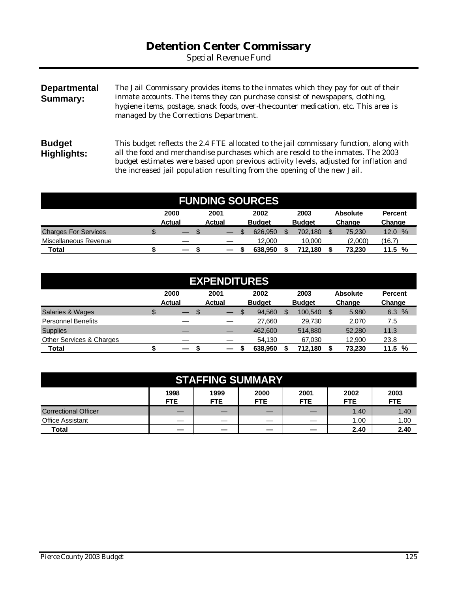## **Detention Center Commissary**

*Special Revenue Fund*

| <b>Departmental</b><br>Summary: | The Jail Commissary provides items to the inmates which they pay for out of their<br>inmate accounts. The items they can purchase consist of newspapers, clothing,<br>hygiene items, postage, snack foods, over-the-counter medication, etc. This area is<br>managed by the Corrections Department.                                              |
|---------------------------------|--------------------------------------------------------------------------------------------------------------------------------------------------------------------------------------------------------------------------------------------------------------------------------------------------------------------------------------------------|
| <b>Budget</b><br>Highlights:    | This budget reflects the 2.4 FTE allocated to the jail commissary function, along with<br>all the food and merchandise purchases which are resold to the inmates. The 2003<br>budget estimates were based upon previous activity levels, adjusted for inflation and<br>the increased jail population resulting from the opening of the new Jail. |

| <b>FUNDING SOURCES</b>      |    |                                           |                       |  |                       |  |                       |  |                           |                          |
|-----------------------------|----|-------------------------------------------|-----------------------|--|-----------------------|--|-----------------------|--|---------------------------|--------------------------|
|                             |    | 2000<br><b>Actual</b>                     | 2001<br><b>Actual</b> |  | 2002<br><b>Budget</b> |  | 2003<br><b>Budget</b> |  | <b>Absolute</b><br>Change | <b>Percent</b><br>Change |
| <b>Charges For Services</b> | \$ | \$.<br>$\qquad \qquad$                    | —                     |  | 626,950               |  | 702.180               |  | 75.230                    | $\%$<br>12.0             |
| Miscellaneous Revenue       |    |                                           |                       |  | 12,000                |  | 10,000                |  | (2,000)                   | (16.7)                   |
| <b>Total</b>                |    | $\qquad \qquad \overline{\qquad \qquad }$ |                       |  | 638.950               |  | 712.180               |  | 73.230                    | %<br>11.5                |

| <b>EXPENDITURES</b>         |    |                          |  |                          |  |               |    |               |    |                 |                |
|-----------------------------|----|--------------------------|--|--------------------------|--|---------------|----|---------------|----|-----------------|----------------|
|                             |    | 2000                     |  | 2001                     |  | 2002          |    | 2003          |    | <b>Absolute</b> | <b>Percent</b> |
|                             |    | <b>Actual</b>            |  | <b>Actual</b>            |  | <b>Budget</b> |    | <b>Budget</b> |    | Change          | Change         |
| <b>Salaries &amp; Wages</b> | \$ | —                        |  | —                        |  | 94.560        | \$ | 100.540       | \$ | 5.980           | 6.3%           |
| <b>Personnel Benefits</b>   |    |                          |  |                          |  | 27.660        |    | 29.730        |    | 2.070           | 7.5            |
| <b>Supplies</b>             |    |                          |  | —                        |  | 462,600       |    | 514.880       |    | 52,280          | 11.3           |
| Other Services & Charges    |    |                          |  |                          |  | 54.130        |    | 67,030        |    | 12,900          | 23.8           |
| Total                       |    | $\overline{\phantom{0}}$ |  | $\overline{\phantom{0}}$ |  | 638.950       |    | 712.180       |    | 73,230          | %<br>11.5      |

| <b>STAFFING SUMMARY</b>                                                                                                          |   |   |  |  |      |      |  |  |  |  |  |
|----------------------------------------------------------------------------------------------------------------------------------|---|---|--|--|------|------|--|--|--|--|--|
| 2003<br>1998<br>1999<br>2000<br>2001<br>2002<br><b>FTE</b><br><b>FTE</b><br><b>FTE</b><br><b>FTE</b><br><b>FTE</b><br><b>FTE</b> |   |   |  |  |      |      |  |  |  |  |  |
| <b>Correctional Officer</b>                                                                                                      |   | _ |  |  | 1.40 | 1.40 |  |  |  |  |  |
| <b>Office Assistant</b>                                                                                                          |   |   |  |  | 1.00 | 1.00 |  |  |  |  |  |
| Total                                                                                                                            | _ |   |  |  | 2.40 | 2.40 |  |  |  |  |  |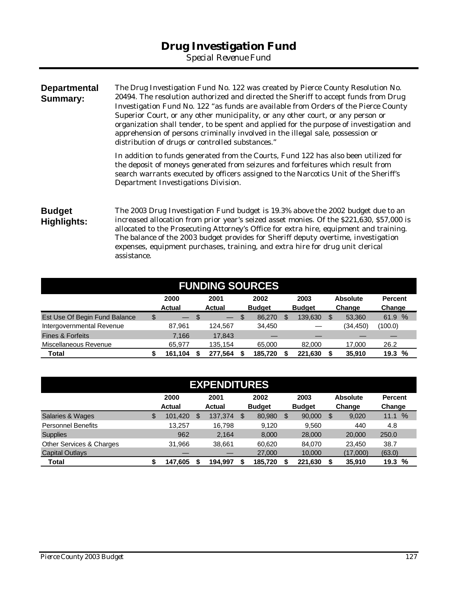*Special Revenue Fund*

| <b>Departmental</b><br>Summary: | The Drug Investigation Fund No. 122 was created by Pierce County Resolution No.<br>20494. The resolution authorized and directed the Sheriff to accept funds from Drug<br>Investigation Fund No. 122 "as funds are available from Orders of the Pierce County<br>Superior Court, or any other municipality, or any other court, or any person or<br>organization shall tender, to be spent and applied for the purpose of investigation and<br>apprehension of persons criminally involved in the illegal sale, possession or<br>distribution of drugs or controlled substances." |
|---------------------------------|-----------------------------------------------------------------------------------------------------------------------------------------------------------------------------------------------------------------------------------------------------------------------------------------------------------------------------------------------------------------------------------------------------------------------------------------------------------------------------------------------------------------------------------------------------------------------------------|
|                                 | In addition to funds generated from the Courts, Fund 122 has also been utilized for<br>the deposit of moneys generated from seizures and forfeitures which result from<br>search warrants executed by officers assigned to the Narcotics Unit of the Sheriff's<br>Department Investigations Division.                                                                                                                                                                                                                                                                             |
| <b>Budget</b><br>Highlights:    | The 2003 Drug Investigation Fund budget is 19.3% above the 2002 budget due to an<br>increased allocation from prior year's seized asset monies. Of the \$221,630, \$57,000 is<br>allocated to the Prosecuting Attorney's Office for extra hire, equipment and training.<br>The balance of the 2003 budget provides for Sheriff deputy overtime, investigation<br>expenses, equipment purchases, training, and extra hire for drug unit clerical<br>assistance.                                                                                                                    |

| <b>FUNDING SOURCES</b>        |    |                          |    |               |  |               |  |               |    |                 |                |
|-------------------------------|----|--------------------------|----|---------------|--|---------------|--|---------------|----|-----------------|----------------|
|                               |    | 2000                     |    | 2001          |  | 2002          |  | 2003          |    | <b>Absolute</b> | <b>Percent</b> |
|                               |    | <b>Actual</b>            |    | <b>Actual</b> |  | <b>Budget</b> |  | <b>Budget</b> |    | Change          | Change         |
| Est Use Of Begin Fund Balance | \$ | $\overline{\phantom{0}}$ | -S | <u>— 1</u>    |  | 86,270        |  | 139,630       | \$ | 53.360          | 61.9 %         |
| Intergovernmental Revenue     |    | 87,961                   |    | 124.567       |  | 34.450        |  |               |    | (34,450)        | (100.0)        |
| <b>Fines &amp; Forfeits</b>   |    | 7.166                    |    | 17.843        |  |               |  |               |    |                 |                |
| Miscellaneous Revenue         |    | 65,977                   |    | 135.154       |  | 65.000        |  | 82,000        |    | 17.000          | 26.2           |
| Total                         |    | 161,104                  |    | 277,564       |  | 185.720       |  | 221,630       |    | 35,910          | 19.3%          |

| <b>EXPENDITURES</b>         |    |                       |   |                       |    |                       |     |                       |   |                           |                          |
|-----------------------------|----|-----------------------|---|-----------------------|----|-----------------------|-----|-----------------------|---|---------------------------|--------------------------|
|                             |    | 2000<br><b>Actual</b> |   | 2001<br><b>Actual</b> |    | 2002<br><b>Budget</b> |     | 2003<br><b>Budget</b> |   | <b>Absolute</b><br>Change | <b>Percent</b><br>Change |
| <b>Salaries &amp; Wages</b> | \$ | 101,420               | S | 137,374               | \$ | 80,980                | \$. | 90,000                | S | 9,020                     | $\%$<br>11.1             |
| <b>Personnel Benefits</b>   |    | 13.257                |   | 16.798                |    | 9,120                 |     | 9,560                 |   | 440                       | 4.8                      |
| <b>Supplies</b>             |    | 962                   |   | 2,164                 |    | 8,000                 |     | 28,000                |   | 20,000                    | 250.0                    |
| Other Services & Charges    |    | 31,966                |   | 38.661                |    | 60.620                |     | 84,070                |   | 23.450                    | 38.7                     |
| <b>Capital Outlays</b>      |    |                       |   |                       |    | 27,000                |     | 10,000                |   | (17,000)                  | (63.0)                   |
| Total                       |    | 147,605               |   | 194.997               |    | 185,720               |     | 221,630               |   | 35,910                    | %<br>19.3                |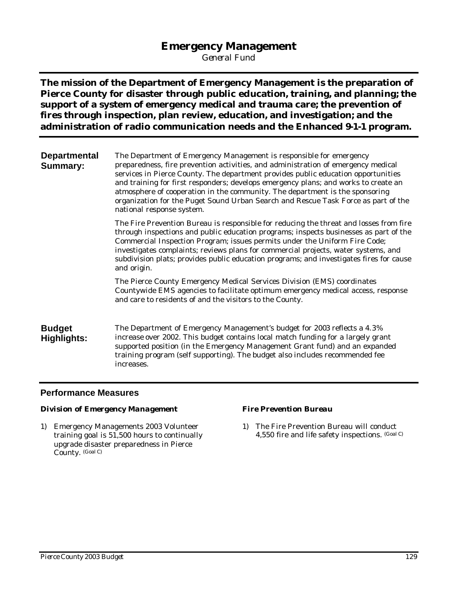### **Emergency Management**

*General Fund*

**The mission of the Department of Emergency Management is the preparation of Pierce County for disaster through public education, training, and planning; the support of a system of emergency medical and trauma care; the prevention of fires through inspection, plan review, education, and investigation; and the administration of radio communication needs and the Enhanced 9-1-1 program.**

**Departmental Summary:** The Department of Emergency Management is responsible for emergency preparedness, fire prevention activities, and administration of emergency medical services in Pierce County. The department provides public education opportunities and training for first responders; develops emergency plans; and works to create an atmosphere of cooperation in the community. The department is the sponsoring organization for the Puget Sound Urban Search and Rescue Task Force as part of the national response system.

> The Fire Prevention Bureau is responsible for reducing the threat and losses from fire through inspections and public education programs; inspects businesses as part of the Commercial Inspection Program; issues permits under the Uniform Fire Code; investigates complaints; reviews plans for commercial projects, water systems, and subdivision plats; provides public education programs; and investigates fires for cause and origin.

The Pierce County Emergency Medical Services Division (EMS) coordinates Countywide EMS agencies to facilitate optimum emergency medical access, response and care to residents of and the visitors to the County.

**Budget Highlights:** The Department of Emergency Management's budget for 2003 reflects a 4.3% increase over 2002. This budget contains local match funding for a largely grant supported position (in the Emergency Management Grant fund) and an expanded training program (self supporting). The budget also includes recommended fee increases.

### **Performance Measures**

### *Division of Emergency Management*

1) Emergency Managements 2003 Volunteer training goal is 51,500 hours to continually upgrade disaster preparedness in Pierce County. (Goal C)

### *Fire Prevention Bureau*

1) The Fire Prevention Bureau will conduct 4,550 fire and life safety inspections. (Goal C)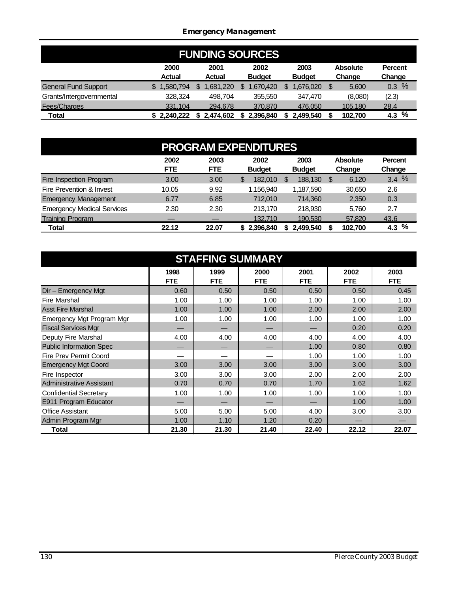### *Emergency Management*

| <b>FUNDING SOURCES</b>      |                       |                       |                       |                       |                           |                          |  |  |  |  |  |
|-----------------------------|-----------------------|-----------------------|-----------------------|-----------------------|---------------------------|--------------------------|--|--|--|--|--|
|                             | 2000<br><b>Actual</b> | 2001<br><b>Actual</b> | 2002<br><b>Budget</b> | 2003<br><b>Budget</b> | <b>Absolute</b><br>Change | <b>Percent</b><br>Change |  |  |  |  |  |
| <b>General Fund Support</b> | .580.794<br>\$        | .681.220              | .670.420              | .676.020              | S<br>5.600                | $\%$<br>0.3              |  |  |  |  |  |
| Grants/Intergovernmental    | 328.324               | 498.704               | 355,550               | 347.470               | (8,080)                   | (2.3)                    |  |  |  |  |  |
| Fees/Charges                | 331.104               | 294.678               | 370,870               | 476,050               | 105.180                   | 28.4                     |  |  |  |  |  |
| Total                       | \$2,240,222           | 2.474.602             | 2.396.840             | 2,499,540             | 102.700                   | %<br>4.3                 |  |  |  |  |  |

| <b>PROGRAM EXPENDITURES</b>       |                    |                    |                       |                       |                           |                          |  |  |  |  |  |
|-----------------------------------|--------------------|--------------------|-----------------------|-----------------------|---------------------------|--------------------------|--|--|--|--|--|
|                                   | 2002<br><b>FTE</b> | 2003<br><b>FTE</b> | 2002<br><b>Budget</b> | 2003<br><b>Budget</b> | <b>Absolute</b><br>Change | <b>Percent</b><br>Change |  |  |  |  |  |
| Fire Inspection Program           | 3.00               | 3.00               | 182.010<br>\$         | 188,130               | 6,120<br>S                | 3.4%                     |  |  |  |  |  |
| Fire Prevention & Invest          | 10.05              | 9.92               | 1,156,940             | 1,187,590             | 30,650                    | 2.6                      |  |  |  |  |  |
| <b>Emergency Management</b>       | 6.77               | 6.85               | 712.010               | 714.360               | 2,350                     | 0.3                      |  |  |  |  |  |
| <b>Emergency Medical Services</b> | 2.30               | 2.30               | 213.170               | 218.930               | 5,760                     | 2.7                      |  |  |  |  |  |
| <b>Training Program</b>           |                    |                    | 132.710               | 190.530               | 57,820                    | 43.6                     |  |  |  |  |  |
| <b>Total</b>                      | 22.12              | 22.07              | \$2,396,840           | 2,499,540             | 102.700                   | %<br>4.3                 |  |  |  |  |  |

|                                | <b>STAFFING SUMMARY</b> |                    |                    |                    |                    |                    |  |  |  |  |  |  |
|--------------------------------|-------------------------|--------------------|--------------------|--------------------|--------------------|--------------------|--|--|--|--|--|--|
|                                | 1998<br><b>FTE</b>      | 1999<br><b>FTE</b> | 2000<br><b>FTE</b> | 2001<br><b>FTE</b> | 2002<br><b>FTE</b> | 2003<br><b>FTE</b> |  |  |  |  |  |  |
| Dir - Emergency Mgt            | 0.60                    | 0.50               | 0.50               | 0.50               | 0.50               | 0.45               |  |  |  |  |  |  |
| Fire Marshal                   | 1.00                    | 1.00               | 1.00               | 1.00               | 1.00               | 1.00               |  |  |  |  |  |  |
| <b>Asst Fire Marshal</b>       | 1.00                    | 1.00               | 1.00               | 2.00               | 2.00               | 2.00               |  |  |  |  |  |  |
| Emergency Mgt Program Mgr      | 1.00                    | 1.00               | 1.00               | 1.00               | 1.00               | 1.00               |  |  |  |  |  |  |
| <b>Fiscal Services Mgr</b>     |                         |                    |                    |                    | 0.20               | 0.20               |  |  |  |  |  |  |
| Deputy Fire Marshal            | 4.00                    | 4.00               | 4.00               | 4.00               | 4.00               | 4.00               |  |  |  |  |  |  |
| <b>Public Information Spec</b> |                         | —                  |                    | 1.00               | 0.80               | 0.80               |  |  |  |  |  |  |
| <b>Fire Prev Permit Coord</b>  |                         |                    |                    | 1.00               | 1.00               | 1.00               |  |  |  |  |  |  |
| <b>Emergency Mgt Coord</b>     | 3.00                    | 3.00               | 3.00               | 3.00               | 3.00               | 3.00               |  |  |  |  |  |  |
| Fire Inspector                 | 3.00                    | 3.00               | 3.00               | 2.00               | 2.00               | 2.00               |  |  |  |  |  |  |
| Administrative Assistant       | 0.70                    | 0.70               | 0.70               | 1.70               | 1.62               | 1.62               |  |  |  |  |  |  |
| <b>Confidential Secretary</b>  | 1.00                    | 1.00               | 1.00               | 1.00               | 1.00               | 1.00               |  |  |  |  |  |  |
| E911 Program Educator          |                         |                    |                    |                    | 1.00               | 1.00               |  |  |  |  |  |  |
| <b>Office Assistant</b>        | 5.00                    | 5.00               | 5.00               | 4.00               | 3.00               | 3.00               |  |  |  |  |  |  |
| Admin Program Mgr              | 1.00                    | 1.10               | 1.20               | 0.20               |                    |                    |  |  |  |  |  |  |
| Total                          | 21.30                   | 21.30              | 21.40              | 22.40              | 22.12              | 22.07              |  |  |  |  |  |  |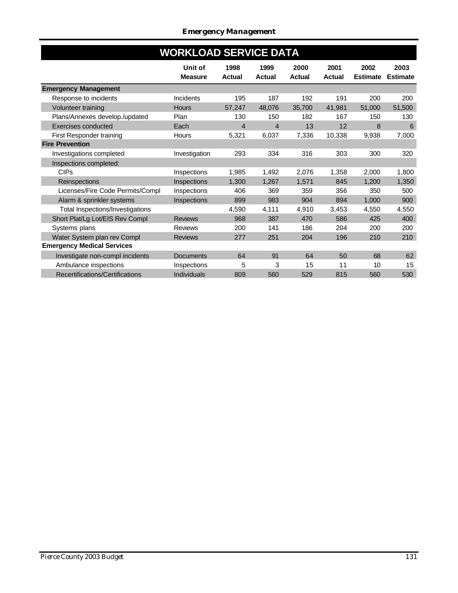|                                   | <b>WORKLOAD SERVICE DATA</b> |                       |                       |                       |                       |                         |                         |
|-----------------------------------|------------------------------|-----------------------|-----------------------|-----------------------|-----------------------|-------------------------|-------------------------|
|                                   | Unit of<br><b>Measure</b>    | 1998<br><b>Actual</b> | 1999<br><b>Actual</b> | 2000<br><b>Actual</b> | 2001<br><b>Actual</b> | 2002<br><b>Estimate</b> | 2003<br><b>Estimate</b> |
| <b>Emergency Management</b>       |                              |                       |                       |                       |                       |                         |                         |
| Response to incidents             | Incidents                    | 195                   | 187                   | 192                   | 191                   | 200                     | 200                     |
| Volunteer training                | <b>Hours</b>                 | 57.247                | 48,076                | 35.700                | 41,981                | 51,000                  | 51,500                  |
| Plans/Annexes develop./updated    | Plan                         | 130                   | 150                   | 182                   | 167                   | 150                     | 130                     |
| Exercises conducted               | Each                         | 4                     | $\overline{4}$        | 13                    | 12                    | 8                       | 6                       |
| First Responder training          | <b>Hours</b>                 | 5,321                 | 6,037                 | 7,336                 | 10,338                | 9,938                   | 7,000                   |
| <b>Fire Prevention</b>            |                              |                       |                       |                       |                       |                         |                         |
| Investigations completed          | Investigation                | 293                   | 334                   | 316                   | 303                   | 300                     | 320                     |
| Inspections completed:            |                              |                       |                       |                       |                       |                         |                         |
| <b>CIPs</b>                       | Inspections                  | 1,985                 | 1,492                 | 2,076                 | 1,358                 | 2,000                   | 1,800                   |
| Reinspections                     | Inspections                  | 1.300                 | 1,267                 | 1.571                 | 845                   | 1.200                   | 1,350                   |
| Licenses/Fire Code Permits/Compl  | Inspections                  | 406                   | 369                   | 359                   | 356                   | 350                     | 500                     |
| Alarm & sprinkler systems         | Inspections                  | 899                   | 983                   | 904                   | 894                   | 1,000                   | 900                     |
| Total Inspections/Investigations  |                              | 4,590                 | 4,111                 | 4,910                 | 3,453                 | 4,550                   | 4,550                   |
| Short Plat/Lg Lot/EIS Rev Compl   | <b>Reviews</b>               | 968                   | 387                   | 470                   | 586                   | 425                     | 400                     |
| Systems plans                     | <b>Reviews</b>               | 200                   | 141                   | 186                   | 204                   | 200                     | 200                     |
| Water System plan rev Compl       | <b>Reviews</b>               | 277                   | 251                   | 204                   | 196                   | 210                     | 210                     |
| <b>Emergency Medical Services</b> |                              |                       |                       |                       |                       |                         |                         |
| Investigate non-compl incidents   | <b>Documents</b>             | 64                    | 91                    | 64                    | 50                    | 68                      | 62                      |
| Ambulance inspections             | Inspections                  | 5                     | 3                     | 15                    | 11                    | 10                      | 15                      |
| Recertifications/Certifications   | <b>Individuals</b>           | 809                   | 560                   | 529                   | 815                   | 560                     | 530                     |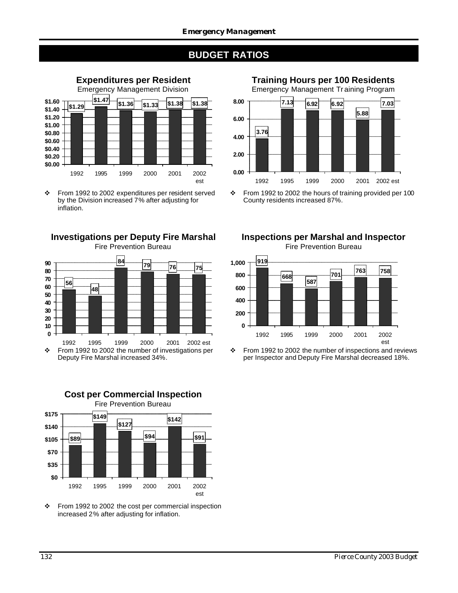## **BUDGET RATIOS**



\* From 1992 to 2002 expenditures per resident served by the Division increased 7% after adjusting for inflation.

**Investigations per Deputy Fire Marshal** Fire Prevention Bureau



\* From 1992 to 2002 the number of investigations per Deputy Fire Marshal increased 34%.

**Cost per Commercial Inspection**



v From 1992 to 2002 the cost per commercial inspection increased 2% after adjusting for inflation.

**Training Hours per 100 Residents**





v From 1992 to 2002 the hours of training provided per 100 County residents increased 87%.

**Inspections per Marshal and Inspector** Fire Prevention Bureau



 $\div$  From 1992 to 2002 the number of inspections and reviews per Inspector and Deputy Fire Marshal decreased 18%.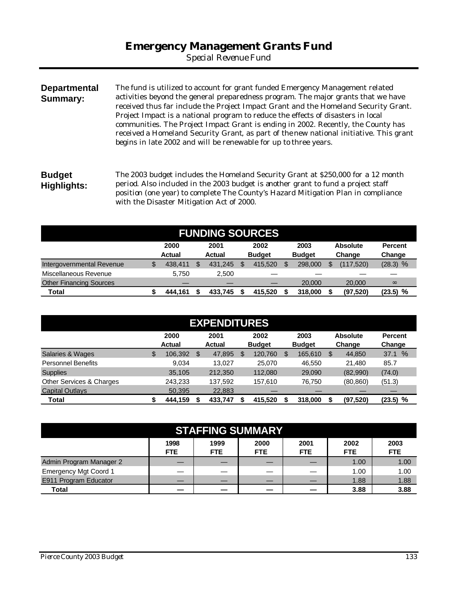*Special Revenue Fund*

**Departmental Summary:** The fund is utilized to account for grant funded Emergency Management related activities beyond the general preparedness program. The major grants that we have received thus far include the Project Impact Grant and the Homeland Security Grant. Project Impact is a national program to reduce the effects of disasters in local communities. The Project Impact Grant is ending in 2002. Recently, the County has received a Homeland Security Grant, as part of the new national initiative. This grant begins in late 2002 and will be renewable for up to three years. **Budget**

**Highlights:** The 2003 budget includes the Homeland Security Grant at \$250,000 for a 12 month period. Also included in the 2003 budget is another grant to fund a project staff position (one year) to complete The County's Hazard Mitigation Plan in compliance with the Disaster Mitigation Act of 2000.

| <b>FUNDING SOURCES</b>         |    |                       |  |                       |   |                       |  |                       |  |                           |                          |
|--------------------------------|----|-----------------------|--|-----------------------|---|-----------------------|--|-----------------------|--|---------------------------|--------------------------|
|                                |    | 2000<br><b>Actual</b> |  | 2001<br><b>Actual</b> |   | 2002<br><b>Budget</b> |  | 2003<br><b>Budget</b> |  | <b>Absolute</b><br>Change | <b>Percent</b><br>Change |
| Intergovernmental Revenue      | \$ | 438.411               |  | 431.245               | S | 415,520               |  | 298,000               |  | (117.520)                 | $(28.3)$ %               |
| Miscellaneous Revenue          |    | 5.750                 |  | 2.500                 |   |                       |  |                       |  |                           |                          |
| <b>Other Financing Sources</b> |    |                       |  |                       |   |                       |  | 20,000                |  | 20,000                    | $\infty$                 |
| <b>Total</b>                   |    | 444.161               |  | 433.745               |   | 415.520               |  | 318,000               |  | (97, 520)                 | (23.5) %                 |

| <b>EXPENDITURES</b>       |    |               |    |               |    |               |  |               |    |                 |                |
|---------------------------|----|---------------|----|---------------|----|---------------|--|---------------|----|-----------------|----------------|
|                           |    | 2000          |    | 2001          |    | 2002          |  | 2003          |    | <b>Absolute</b> | <b>Percent</b> |
|                           |    | <b>Actual</b> |    | <b>Actual</b> |    | <b>Budget</b> |  | <b>Budget</b> |    | Change          | Change         |
| Salaries & Wages          | \$ | 106,392       | \$ | 47,895        | \$ | 120,760       |  | 165.610       | \$ | 44.850          | $\%$<br>37.1   |
| <b>Personnel Benefits</b> |    | 9,034         |    | 13.027        |    | 25.070        |  | 46.550        |    | 21.480          | 85.7           |
| <b>Supplies</b>           |    | 35.105        |    | 212,350       |    | 112.080       |  | 29,090        |    | (82,990)        | (74.0)         |
| Other Services & Charges  |    | 243,233       |    | 137,592       |    | 157.610       |  | 76.750        |    | (80, 860)       | (51.3)         |
| <b>Capital Outlays</b>    |    | 50,395        |    | 22,883        |    |               |  |               |    |                 |                |
| Total                     |    | 444,159       |    | 433.747       |    | 415.520       |  | 318,000       |    | (97, 520)       | $(23.5)$ %     |

| <b>STAFFING SUMMARY</b>      |              |                    |              |                    |              |                    |  |  |  |  |
|------------------------------|--------------|--------------------|--------------|--------------------|--------------|--------------------|--|--|--|--|
|                              | 1998<br>FTE. | 1999<br><b>FTE</b> | 2000<br>FTE. | 2001<br><b>FTE</b> | 2002<br>FTE. | 2003<br><b>FTE</b> |  |  |  |  |
| Admin Program Manager 2      |              |                    |              |                    | 1.00         | 1.00               |  |  |  |  |
| <b>Emergency Mgt Coord 1</b> |              |                    | __           |                    | 1.00         | 1.00               |  |  |  |  |
| E911 Program Educator        |              |                    |              |                    | 1.88         | 1.88               |  |  |  |  |
| Total                        |              |                    |              |                    | 3.88         | 3.88               |  |  |  |  |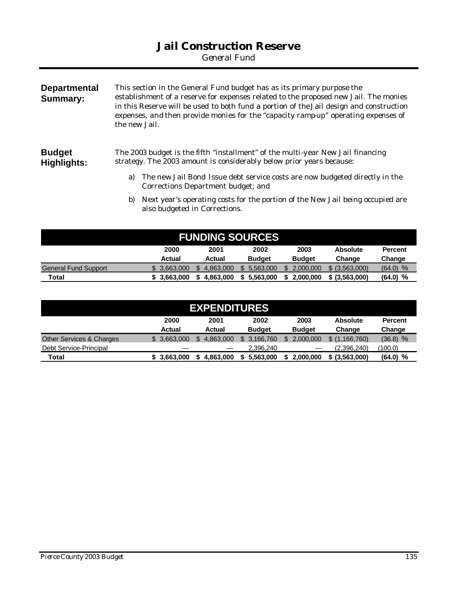## **Jail Construction Reserve**

*General Fund*

| <b>Departmental</b><br>Summary: | This section in the General Fund budget has as its primary purpose the<br>establishment of a reserve for expenses related to the proposed new Jail. The monies<br>in this Reserve will be used to both fund a portion of the Jail design and construction<br>expenses, and then provide monies for the "capacity ramp-up" operating expenses of<br>the new Jail. |  |  |  |  |  |  |  |  |
|---------------------------------|------------------------------------------------------------------------------------------------------------------------------------------------------------------------------------------------------------------------------------------------------------------------------------------------------------------------------------------------------------------|--|--|--|--|--|--|--|--|
| <b>Budget</b><br>Highlights:    | The 2003 budget is the fifth "installment" of the multi-year New Jail financing<br>strategy. The 2003 amount is considerably below prior years because:                                                                                                                                                                                                          |  |  |  |  |  |  |  |  |
|                                 | The new Jail Bond Issue debt service costs are now budgeted directly in the<br>a)<br>Corrections Department budget; and                                                                                                                                                                                                                                          |  |  |  |  |  |  |  |  |
|                                 | Next year's operating costs for the portion of the New Jail being occupied are<br>b)<br>also budgeted in Corrections.                                                                                                                                                                                                                                            |  |  |  |  |  |  |  |  |

| <b>FUNDING SOURCES</b>      |               |           |               |               |                 |                |  |  |  |  |
|-----------------------------|---------------|-----------|---------------|---------------|-----------------|----------------|--|--|--|--|
|                             | 2000          | 2001      | 2002          | 2003          | <b>Absolute</b> | <b>Percent</b> |  |  |  |  |
|                             | <b>Actual</b> | Actual    | <b>Budget</b> | <b>Budget</b> | Change          | Change         |  |  |  |  |
| <b>General Fund Support</b> | 3.663.000     | 4.863.000 | 5.563.000     | 2.000.000     | \$ (3.563.000)  | $(64.0)$ %     |  |  |  |  |
| Total                       | \$3.663.000   | 4.863.000 | 5.563.000     | 2.000.000     | \$ (3,563,000)  | $(64.0)$ %     |  |  |  |  |

| <b>EXPENDITURES</b>                 |             |                  |               |               |                 |                |  |  |  |  |  |
|-------------------------------------|-------------|------------------|---------------|---------------|-----------------|----------------|--|--|--|--|--|
|                                     | 2000        | 2001             | 2002          | 2003          | <b>Absolute</b> | <b>Percent</b> |  |  |  |  |  |
|                                     | Actual      | Actual           | <b>Budget</b> | <b>Budget</b> | Change          | Change         |  |  |  |  |  |
| <b>Other Services &amp; Charges</b> | 3.663.000   | 4.863.000<br>\$. | 3.166.760     | 2.000.000     | \$(1.166.760)   | $(36.8)$ %     |  |  |  |  |  |
| Debt Service-Principal              |             |                  | 2,396,240     |               | (2,396,240)     | (100.0)        |  |  |  |  |  |
| Total                               | \$3.663.000 | 4.863.000        | 5.563.000     | 2.000.000     | \$ (3,563,000)  | %<br>(64.0)    |  |  |  |  |  |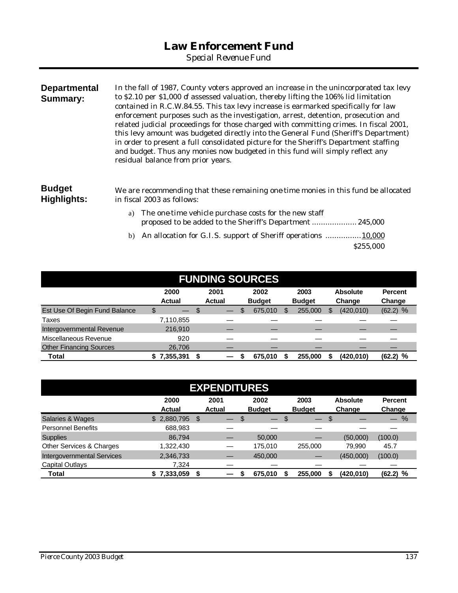*Special Revenue Fund*

| <b>Departmental</b><br>Summary: | In the fall of 1987, County voters approved an increase in the unincorporated tax levy<br>to \$2.10 per \$1,000 of assessed valuation, thereby lifting the 106% lid limitation<br>contained in R.C.W.84.55. This tax levy increase is earmarked specifically for law<br>enforcement purposes such as the investigation, arrest, detention, prosecution and<br>related judicial proceedings for those charged with committing crimes. In fiscal 2001,<br>this levy amount was budgeted directly into the General Fund (Sheriff's Department)<br>in order to present a full consolidated picture for the Sheriff's Department staffing<br>and budget. Thus any monies now budgeted in this fund will simply reflect any<br>residual balance from prior years. |
|---------------------------------|-------------------------------------------------------------------------------------------------------------------------------------------------------------------------------------------------------------------------------------------------------------------------------------------------------------------------------------------------------------------------------------------------------------------------------------------------------------------------------------------------------------------------------------------------------------------------------------------------------------------------------------------------------------------------------------------------------------------------------------------------------------|
| <b>Budget</b><br>Highlights:    | We are recommending that these remaining one time monies in this fund be allocated<br>in fiscal 2003 as follows:                                                                                                                                                                                                                                                                                                                                                                                                                                                                                                                                                                                                                                            |
|                                 | The one-time vehicle purchase costs for the new staff<br>a)<br>proposed to be added to the Sheriff's Department 245,000                                                                                                                                                                                                                                                                                                                                                                                                                                                                                                                                                                                                                                     |

b) An allocation for G.I.S. support of Sheriff operations ................10,000 \$255,000

| <b>FUNDING SOURCES</b>         |                       |   |                       |    |                       |  |                       |  |                           |                          |
|--------------------------------|-----------------------|---|-----------------------|----|-----------------------|--|-----------------------|--|---------------------------|--------------------------|
|                                | 2000<br><b>Actual</b> |   | 2001<br><b>Actual</b> |    | 2002<br><b>Budget</b> |  | 2003<br><b>Budget</b> |  | <b>Absolute</b><br>Change | <b>Percent</b><br>Change |
| Est Use Of Begin Fund Balance  | \$                    | S |                       | \$ | 675,010               |  | 255,000               |  | (420, 010)                | $(62.2)$ %               |
| Taxes                          | 7,110,855             |   |                       |    |                       |  |                       |  |                           |                          |
| Intergovernmental Revenue      | 216,910               |   |                       |    |                       |  |                       |  |                           |                          |
| Miscellaneous Revenue          | 920                   |   |                       |    |                       |  |                       |  |                           |                          |
| <b>Other Financing Sources</b> | 26,706                |   |                       |    |                       |  |                       |  |                           |                          |
| Total                          | 7,355,391             |   |                       |    | 675.010               |  | 255.000               |  | (420,010)                 | %<br>(62.2)              |

| <b>EXPENDITURES</b>               |                       |   |                          |    |                       |   |                          |    |                           |                          |  |
|-----------------------------------|-----------------------|---|--------------------------|----|-----------------------|---|--------------------------|----|---------------------------|--------------------------|--|
|                                   | 2000<br><b>Actual</b> |   | 2001<br><b>Actual</b>    |    | 2002<br><b>Budget</b> |   | 2003<br><b>Budget</b>    |    | <b>Absolute</b><br>Change | <b>Percent</b><br>Change |  |
| <b>Salaries &amp; Wages</b>       | 2,880,795<br>\$       | S |                          | \$ |                       | S | $\overline{\phantom{0}}$ | \$ |                           | %                        |  |
| <b>Personnel Benefits</b>         | 688,983               |   |                          |    |                       |   |                          |    |                           |                          |  |
| <b>Supplies</b>                   | 86.794                |   |                          |    | 50,000                |   |                          |    | (50,000)                  | (100.0)                  |  |
| Other Services & Charges          | 1,322,430             |   | $\overline{\phantom{0}}$ |    | 175,010               |   | 255,000                  |    | 79.990                    | 45.7                     |  |
| <b>Intergovernmental Services</b> | 2,346,733             |   |                          |    | 450,000               |   |                          |    | (450,000)                 | (100.0)                  |  |
| Capital Outlays                   | 7,324                 |   |                          |    |                       |   |                          |    |                           |                          |  |
| Total                             | \$7,333,059           |   |                          |    | 675,010               |   | 255,000                  |    | (420,010)                 | %<br>(62.2)              |  |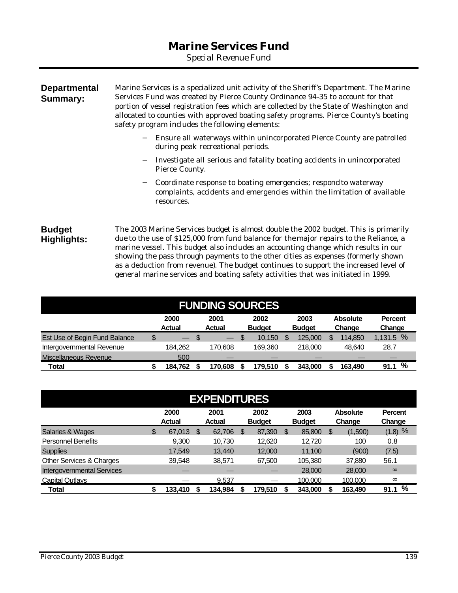## **Marine Services Fund**

*Special Revenue Fund*

### **Departmental Summary:** Marine Services is a specialized unit activity of the Sheriff's Department. The Marine Services Fund was created by Pierce County Ordinance 94-35 to account for that portion of vessel registration fees which are collected by the State of Washington and allocated to counties with approved boating safety programs. Pierce County's boating safety program includes the following elements:

- − Ensure all waterways within unincorporated Pierce County are patrolled during peak recreational periods.
- − Investigate all serious and fatality boating accidents in unincorporated Pierce County.
- − Coordinate response to boating emergencies; respond to waterway complaints, accidents and emergencies within the limitation of available resources.

**Budget Highlights:** The 2003 Marine Services budget is almost double the 2002 budget. This is primarily due to the use of \$125,000 from fund balance for the major repairs to the Reliance, a marine vessel. This budget also includes an accounting change which results in our showing the pass through payments to the other cities as expenses (formerly shown as a deduction from revenue). The budget continues to support the increased level of general marine services and boating safety activities that was initiated in 1999.

| <b>FUNDING SOURCES</b>        |    |                       |    |                       |  |                       |  |                       |  |                           |                          |
|-------------------------------|----|-----------------------|----|-----------------------|--|-----------------------|--|-----------------------|--|---------------------------|--------------------------|
|                               |    | 2000<br><b>Actual</b> |    | 2001<br><b>Actual</b> |  | 2002<br><b>Budget</b> |  | 2003<br><b>Budget</b> |  | <b>Absolute</b><br>Change | <b>Percent</b><br>Change |
| Est Use of Begin Fund Balance | \$ | $-$                   | -S | $\leftarrow$          |  | 10.150                |  | 125,000               |  | 114.850                   | 1,131.5%                 |
| Intergovernmental Revenue     |    | 184.262               |    | 170,608               |  | 169.360               |  | 218,000               |  | 48.640                    | 28.7                     |
| Miscellaneous Revenue         |    | 500                   |    |                       |  |                       |  |                       |  |                           |                          |
| Total                         |    | 184.762               |    | 170.608               |  | 179.510               |  | 343,000               |  | 163,490                   | %<br>91.1                |

| <b>EXPENDITURES</b>               |    |                       |    |                       |    |                       |    |                       |   |                           |                          |
|-----------------------------------|----|-----------------------|----|-----------------------|----|-----------------------|----|-----------------------|---|---------------------------|--------------------------|
|                                   |    | 2000<br><b>Actual</b> |    | 2001<br><b>Actual</b> |    | 2002<br><b>Budget</b> |    | 2003<br><b>Budget</b> |   | <b>Absolute</b><br>Change | <b>Percent</b><br>Change |
| Salaries & Wages                  | \$ | 67,013                | \$ | 62,706                | \$ | 87,390                | \$ | 85,800                | S | (1,590)                   | (1.8) %                  |
| <b>Personnel Benefits</b>         |    | 9,300                 |    | 10.730                |    | 12,620                |    | 12.720                |   | 100                       | 0.8                      |
| <b>Supplies</b>                   |    | 17.549                |    | 13.440                |    | 12,000                |    | 11.100                |   | (900)                     | (7.5)                    |
| Other Services & Charges          |    | 39,548                |    | 38,571                |    | 67,500                |    | 105,380               |   | 37,880                    | 56.1                     |
| <b>Intergovernmental Services</b> |    |                       |    |                       |    |                       |    | 28,000                |   | 28,000                    | $\infty$                 |
| <b>Capital Outlays</b>            |    |                       |    | 9,537                 |    |                       |    | 100,000               |   | 100,000                   | $\infty$                 |
| <b>Total</b>                      | \$ | 133,410               |    | 134,984               |    | 179,510               |    | 343,000               |   | 163,490                   | %<br>91.1                |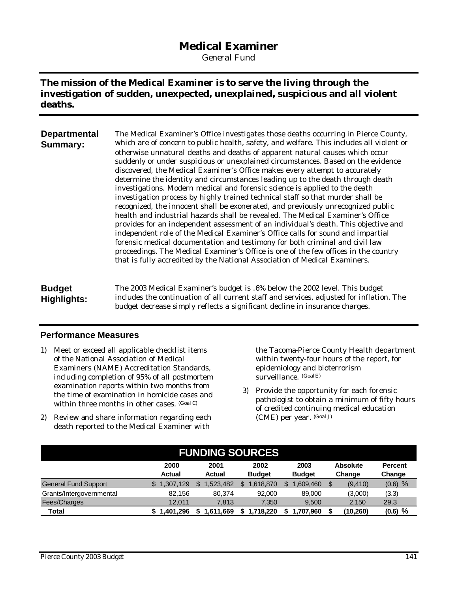## **Medical Examiner**

*General Fund*

### **The mission of the Medical Examiner is to serve the living through the investigation of sudden, unexpected, unexplained, suspicious and all violent deaths.**

| <b>Departmental</b><br><b>Summary:</b> | The Medical Examiner's Office investigates those deaths occurring in Pierce County,<br>which are of concern to public health, safety, and welfare. This includes all violent or<br>otherwise unnatural deaths and deaths of apparent natural causes which occur<br>suddenly or under suspicious or unexplained circumstances. Based on the evidence<br>discovered, the Medical Examiner's Office makes every attempt to accurately<br>determine the identity and circumstances leading up to the death through death<br>investigations. Modern medical and forensic science is applied to the death<br>investigation process by highly trained technical staff so that murder shall be<br>recognized, the innocent shall be exonerated, and previously unrecognized public<br>health and industrial hazards shall be revealed. The Medical Examiner's Office<br>provides for an independent assessment of an individual's death. This objective and<br>independent role of the Medical Examiner's Office calls for sound and impartial<br>forensic medical documentation and testimony for both criminal and civil law<br>proceedings. The Medical Examiner's Office is one of the few offices in the country |
|----------------------------------------|---------------------------------------------------------------------------------------------------------------------------------------------------------------------------------------------------------------------------------------------------------------------------------------------------------------------------------------------------------------------------------------------------------------------------------------------------------------------------------------------------------------------------------------------------------------------------------------------------------------------------------------------------------------------------------------------------------------------------------------------------------------------------------------------------------------------------------------------------------------------------------------------------------------------------------------------------------------------------------------------------------------------------------------------------------------------------------------------------------------------------------------------------------------------------------------------------------------|
|                                        | that is fully accredited by the National Association of Medical Examiners.                                                                                                                                                                                                                                                                                                                                                                                                                                                                                                                                                                                                                                                                                                                                                                                                                                                                                                                                                                                                                                                                                                                                    |

**Budget Highlights:** The 2003 Medical Examiner's budget is .6% below the 2002 level. This budget includes the continuation of all current staff and services, adjusted for inflation. The budget decrease simply reflects a significant decline in insurance charges.

### **Performance Measures**

- 1) Meet or exceed all applicable checklist items of the National Association of Medical Examiners (NAME) Accreditation Standards, including completion of 95% of all postmortem examination reports within two months from the time of examination in homicide cases and within three months in other cases. (Goal C)
- 2) Review and share information regarding each death reported to the Medical Examiner with

the Tacoma-Pierce County Health department within twenty-four hours of the report, for epidemiology and bioterrorism surveillance. (GoalE)

3) Provide the opportunity for each forensic pathologist to obtain a minimum of fifty hours of credited continuing medical education (CME) per year. (Goal J)

| <b>FUNDING SOURCES</b>      |                |                 |               |               |                 |                |  |  |  |  |
|-----------------------------|----------------|-----------------|---------------|---------------|-----------------|----------------|--|--|--|--|
|                             | 2000           | 2001            | 2002          | 2003          | <b>Absolute</b> | <b>Percent</b> |  |  |  |  |
|                             | <b>Actual</b>  | Actual          | <b>Budget</b> | <b>Budget</b> | Change          | Change         |  |  |  |  |
| <b>General Fund Support</b> | .307.129<br>\$ | 1.523.482<br>\$ | .618.870      | .609.460      | (9,410)         | $(0.6)$ %      |  |  |  |  |
| Grants/Intergovernmental    | 82.156         | 80.374          | 92,000        | 89,000        | (3,000)         | (3.3)          |  |  |  |  |
| Fees/Charges                | 12.011         | 7.813           | 7.350         | 9.500         | 2,150           | 29.3           |  |  |  |  |
| Total                       | .401.296       | 1,611,669<br>S  | 1,718,220     | 1.707.960     | (10, 260)       | $(0.6)$ %      |  |  |  |  |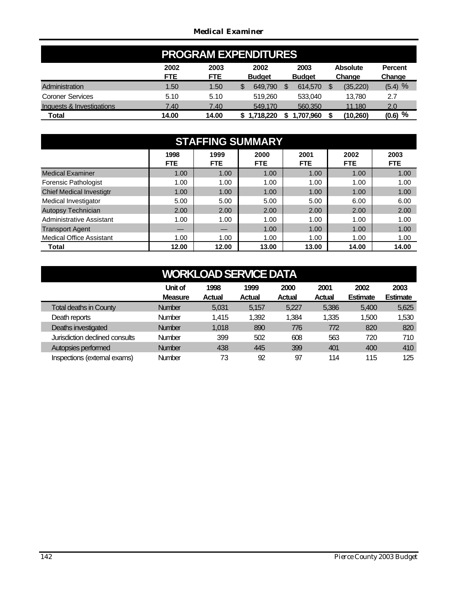### *Medical Examiner*

| <b>PROGRAM EXPENDITURES</b> |                    |                    |                       |                       |                           |                          |  |  |  |  |
|-----------------------------|--------------------|--------------------|-----------------------|-----------------------|---------------------------|--------------------------|--|--|--|--|
|                             | 2002<br><b>FTE</b> | 2003<br><b>FTE</b> | 2002<br><b>Budget</b> | 2003<br><b>Budget</b> | <b>Absolute</b><br>Change | <b>Percent</b><br>Change |  |  |  |  |
| Administration              | 1.50               | 1.50               | 649.790<br>\$         | 614,570               | (35, 220)<br>S            | $(5.4)$ %                |  |  |  |  |
| <b>Coroner Services</b>     | 5.10               | 5.10               | 519,260               | 533.040               | 13.780                    | 2.7                      |  |  |  |  |
| Inquests & Investigations   | 7.40               | 7.40               | 549.170               | 560,350               | 11.180                    | 2.0                      |  |  |  |  |
| <b>Total</b>                | 14.00              | 14.00              | 1.718.220             | .707.960              | (10, 260)                 | $(0.6)$ %                |  |  |  |  |

| <b>STAFFING SUMMARY</b>         |                    |                    |                    |                    |                    |                    |  |  |  |  |
|---------------------------------|--------------------|--------------------|--------------------|--------------------|--------------------|--------------------|--|--|--|--|
|                                 | 1998<br><b>FTE</b> | 1999<br><b>FTE</b> | 2000<br><b>FTE</b> | 2001<br><b>FTE</b> | 2002<br><b>FTE</b> | 2003<br><b>FTE</b> |  |  |  |  |
| <b>Medical Examiner</b>         | 1.00               | 1.00               | 1.00               | 1.00               | 1.00               | 1.00               |  |  |  |  |
| <b>Forensic Pathologist</b>     | 1.00               | 1.00               | 1.00               | 1.00               | 1.00               | 1.00               |  |  |  |  |
| <b>Chief Medical Investigtr</b> | 1.00               | 1.00               | 1.00               | 1.00               | 1.00               | 1.00               |  |  |  |  |
| Medical Investigator            | 5.00               | 5.00               | 5.00               | 5.00               | 6.00               | 6.00               |  |  |  |  |
| Autopsy Technician              | 2.00               | 2.00               | 2.00               | 2.00               | 2.00               | 2.00               |  |  |  |  |
| Administrative Assistant        | 1.00               | 1.00               | 1.00               | 1.00               | 1.00               | 1.00               |  |  |  |  |
| <b>Transport Agent</b>          |                    |                    | 1.00               | 1.00               | 1.00               | 1.00               |  |  |  |  |
| <b>Medical Office Assistant</b> | 1.00               | 1.00               | 1.00               | 1.00               | 1.00               | 1.00               |  |  |  |  |
| Total                           | 12.00              | 12.00              | 13.00              | 13.00              | 14.00              | 14.00              |  |  |  |  |

| <b>WORKLOAD SERVICE DATA</b>                                                                                                                                                 |               |       |       |       |       |       |       |  |  |
|------------------------------------------------------------------------------------------------------------------------------------------------------------------------------|---------------|-------|-------|-------|-------|-------|-------|--|--|
| Unit of<br>1998<br>2002<br>2003<br>1999<br>2000<br>2001<br><b>Estimate</b><br><b>Estimate</b><br><b>Actual</b><br><b>Actual</b><br><b>Measure</b><br><b>Actual</b><br>Actual |               |       |       |       |       |       |       |  |  |
| <b>Total deaths in County</b>                                                                                                                                                | <b>Number</b> | 5,031 | 5,157 | 5,227 | 5,386 | 5,400 | 5,625 |  |  |
| Death reports                                                                                                                                                                | <b>Number</b> | 1.415 | 1,392 | 1.384 | 1,335 | 1,500 | 1,530 |  |  |
| Deaths investigated                                                                                                                                                          | <b>Number</b> | 1,018 | 890   | 776   | 772   | 820   | 820   |  |  |
| Jurisdiction declined consults                                                                                                                                               | <b>Number</b> | 399   | 502   | 608   | 563   | 720   | 710   |  |  |
| Autopsies performed                                                                                                                                                          | <b>Number</b> | 438   | 445   | 399   | 401   | 400   | 410   |  |  |
| Inspections (external exams)                                                                                                                                                 | <b>Number</b> | 73    | 92    | 97    | 114   | 115   | 125   |  |  |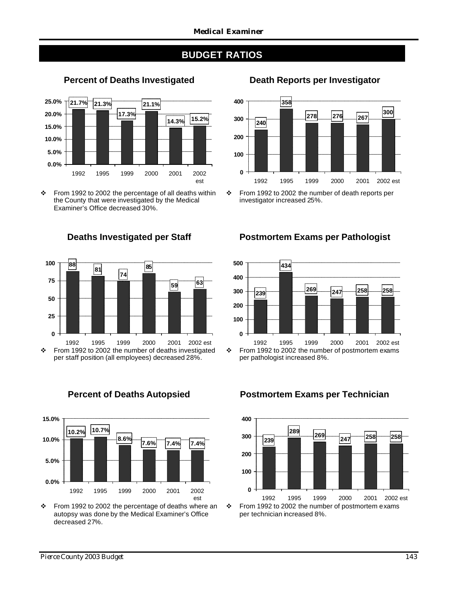## **BUDGET RATIOS**



### **Percent of Deaths Investigated Death Reports per Investigator**

v From 1992 to 2002 the percentage of all deaths within the County that were investigated by the Medical Examiner's Office decreased 30%.



 $\div$  From 1992 to 2002 the number of deaths investigated per staff position (all employees) decreased 28%.



v From 1992 to 2002 the percentage of deaths where an autopsy was done by the Medical Examiner's Office decreased 27%.



v From 1992 to 2002 the number of death reports per investigator increased 25%.

### **Deaths Investigated per Staff Postmortem Exams per Pathologist**



per pathologist increased 8%.

### $\div$  From 1992 to 2002 the number of postmortem exams **239 <sup>289</sup> <sup>269</sup> <sup>247</sup> <sup>258</sup> <sup>258</sup> 0 100 200 300 400** 1992 1995 1999 2000 2001 2002 est

per technician increased 8%.

### **Percent of Deaths Autopsied Postmortem Exams per Technician**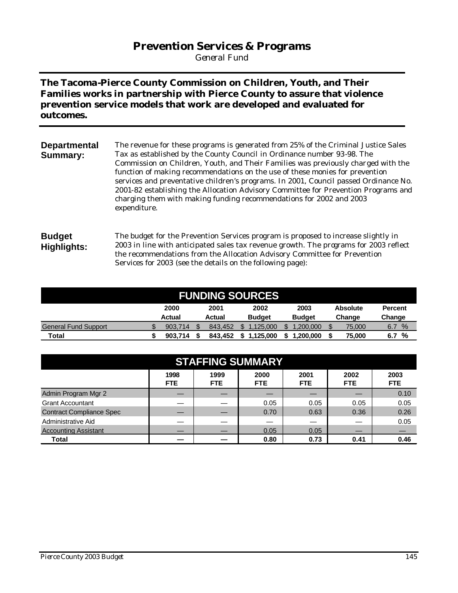## **Prevention Services & Programs**

*General Fund*

**The Tacoma-Pierce County Commission on Children, Youth, and Their Families works in partnership with Pierce County to assure that violence prevention service models that work are developed and evaluated for outcomes.**

| <b>Departmental</b> | The revenue for these programs is generated from 25% of the Criminal Justice Sales   |
|---------------------|--------------------------------------------------------------------------------------|
| Summary:            | Tax as established by the County Council in Ordinance number 93-98. The              |
|                     | Commission on Children, Youth, and Their Families was previously charged with the    |
|                     | function of making recommendations on the use of these monies for prevention         |
|                     | services and preventative children's programs. In 2001, Council passed Ordinance No. |
|                     | 2001-82 establishing the Allocation Advisory Committee for Prevention Programs and   |
|                     | charging them with making funding recommendations for 2002 and 2003                  |
|                     | expenditure.                                                                         |
|                     |                                                                                      |
|                     |                                                                                      |

### **Budget Highlights:** The budget for the Prevention Services program is proposed to increase slightly in 2003 in line with anticipated sales tax revenue growth. The programs for 2003 reflect the recommendations from the Allocation Advisory Committee for Prevention Services for 2003 (see the details on the following page):

| <b>FUNDING SOURCES</b>      |                                                 |         |  |         |               |  |               |  |        |                      |
|-----------------------------|-------------------------------------------------|---------|--|---------|---------------|--|---------------|--|--------|----------------------|
|                             | 2001<br>2003<br>2000<br>2002<br><b>Absolute</b> |         |  |         |               |  |               |  |        | <b>Percent</b>       |
|                             |                                                 | Actual  |  | Actual  | <b>Budget</b> |  | <b>Budget</b> |  | Change | Change               |
| <b>General Fund Support</b> |                                                 | 903.714 |  | 843.452 | .125.000      |  | 1.200.000     |  | 75.000 | $\frac{9}{6}$<br>6.7 |
| Total                       |                                                 | 903.714 |  | 843.452 | 1.125.000     |  | .200.000      |  | 75.000 | %<br>6.7             |

| <b>STAFFING SUMMARY</b>         |              |                    |              |                    |              |                    |  |  |  |  |
|---------------------------------|--------------|--------------------|--------------|--------------------|--------------|--------------------|--|--|--|--|
|                                 | 1998<br>FTE. | 1999<br><b>FTE</b> | 2000<br>FTE. | 2001<br><b>FTE</b> | 2002<br>FTE. | 2003<br><b>FTE</b> |  |  |  |  |
| Admin Program Mgr 2             |              |                    |              |                    |              | 0.10               |  |  |  |  |
| <b>Grant Accountant</b>         |              |                    | 0.05         | 0.05               | 0.05         | 0.05               |  |  |  |  |
| <b>Contract Compliance Spec</b> |              |                    | 0.70         | 0.63               | 0.36         | 0.26               |  |  |  |  |
| Administrative Aid              |              |                    |              |                    |              | 0.05               |  |  |  |  |
| <b>Accounting Assistant</b>     |              |                    | 0.05         | 0.05               |              |                    |  |  |  |  |
| Total                           |              |                    | 0.80         | 0.73               | 0.41         | 0.46               |  |  |  |  |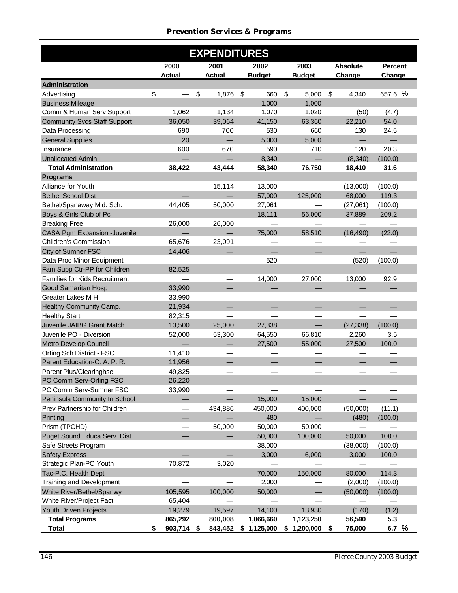### *Prevention Services & Programs*

|                                     |               | <b>EXPENDITURES</b> |               |                                    |                 |                |
|-------------------------------------|---------------|---------------------|---------------|------------------------------------|-----------------|----------------|
|                                     | 2000          | 2001                | 2002          | 2003                               | <b>Absolute</b> | <b>Percent</b> |
|                                     | <b>Actual</b> | <b>Actual</b>       | <b>Budget</b> | <b>Budget</b>                      | Change          | Change         |
| Administration                      |               |                     |               |                                    |                 |                |
| Advertising                         | \$            | \$<br>1,876         | \$<br>660     | $\boldsymbol{\mathsf{S}}$<br>5,000 | \$<br>4,340     | 657.6 %        |
| <b>Business Mileage</b>             |               |                     | 1,000         | 1,000                              |                 |                |
| Comm & Human Serv Support           | 1,062         | 1,134               | 1,070         | 1,020                              | (50)            | (4.7)          |
| <b>Community Svcs Staff Support</b> | 36,050        | 39,064              | 41,150        | 63,360                             | 22,210          | 54.0           |
| Data Processing                     | 690           | 700                 | 530           | 660                                | 130             | 24.5           |
| <b>General Supplies</b>             | 20            |                     | 5,000         | 5,000                              |                 |                |
| Insurance                           | 600           | 670                 | 590           | 710                                | 120             | 20.3           |
| <b>Unallocated Admin</b>            |               |                     | 8,340         |                                    | (8, 340)        | (100.0)        |
| <b>Total Administration</b>         | 38,422        | 43,444              | 58,340        | 76,750                             | 18,410          | 31.6           |
| <b>Programs</b>                     |               |                     |               |                                    |                 |                |
| Alliance for Youth                  |               | 15,114              | 13,000        |                                    | (13,000)        | (100.0)        |
| <b>Bethel School Dist</b>           |               |                     | 57,000        | 125,000                            | 68,000          | 119.3          |
| Bethel/Spanaway Mid. Sch.           | 44,405        | 50,000              | 27,061        |                                    | (27,061)        | (100.0)        |
| Boys & Girls Club of Pc             |               |                     | 18,111        | 56,000                             | 37,889          | 209.2          |
| <b>Breaking Free</b>                | 26,000        | 26,000              |               |                                    |                 |                |
| <b>CASA Pgm Expansion -Juvenile</b> |               |                     | 75,000        | 58,510                             | (16, 490)       | (22.0)         |
| Children's Commission               | 65,676        | 23,091              |               |                                    |                 |                |
| City of Sumner FSC                  | 14,406        |                     |               |                                    |                 |                |
| Data Proc Minor Equipment           |               |                     | 520           |                                    | (520)           | (100.0)        |
| Fam Supp Ctr-PP for Children        | 82,525        |                     |               |                                    |                 |                |
| Families for Kids Recruitment       |               |                     | 14,000        | 27,000                             | 13,000          | 92.9           |
| <b>Good Samaritan Hosp</b>          | 33,990        |                     |               |                                    |                 |                |
| Greater Lakes M H                   | 33,990        |                     |               |                                    |                 |                |
| Healthy Community Camp.             | 21,934        |                     |               |                                    |                 |                |
| <b>Healthy Start</b>                | 82,315        |                     |               |                                    |                 |                |
| Juvenile JAIBG Grant Match          | 13,500        | 25,000              | 27,338        |                                    | (27, 338)       | (100.0)        |
| Juvenile PO - Diversion             | 52,000        | 53,300              | 64,550        | 66,810                             | 2,260           | 3.5            |
| Metro Develop Council               |               |                     | 27,500        | 55,000                             | 27,500          | 100.0          |
| Orting Sch District - FSC           | 11,410        |                     |               |                                    |                 |                |
| Parent Education-C. A. P. R.        | 11,956        |                     |               |                                    |                 |                |
| Parent Plus/Clearinghse             | 49,825        |                     |               |                                    |                 |                |
| PC Comm Serv-Orting FSC             | 26,220        |                     |               |                                    |                 |                |
| PC Comm Serv-Sumner FSC             | 33,990        |                     |               |                                    |                 |                |
| Peninsula Community In School       |               |                     | 15,000        | 15,000                             |                 |                |
| Prev Partnership for Children       |               | 434,886             | 450,000       | 400,000                            | (50,000)        | (11.1)         |
| Printing                            |               |                     | 480           |                                    | (480)           | (100.0)        |
| Prism (TPCHD)                       |               | 50,000              | 50,000        | 50,000                             |                 |                |
| Puget Sound Educa Serv. Dist        |               |                     | 50,000        | 100,000                            | 50,000          | 100.0          |
| Safe Streets Program                |               |                     | 38,000        |                                    | (38,000)        | (100.0)        |
| <b>Safety Express</b>               |               |                     | 3,000         | 6,000                              | 3,000           | 100.0          |
| Strategic Plan-PC Youth             | 70,872        | 3,020               |               |                                    |                 |                |
| Tac-P.C. Health Dept                |               |                     | 70,000        | 150,000                            | 80,000          | 114.3          |
| Training and Development            |               |                     | 2,000         |                                    | (2,000)         | (100.0)        |
| White River/Bethel/Spanwy           | 105,595       | 100,000             | 50,000        |                                    | (50,000)        | (100.0)        |
| White River/Project Fact            | 65,404        |                     |               |                                    |                 |                |
| Youth Driven Projects               | 19,279        | 19,597              | 14,100        | 13,930                             | (170)           | (1.2)          |
| <b>Total Programs</b>               | 865,292       | 800,008             | 1,066,660     | 1,123,250                          | 56,590          | 5.3            |
| Total                               | \$<br>903,714 | \$<br>843,452       | \$1,125,000   | \$1,200,000                        | \$<br>75,000    | 6.7 $%$        |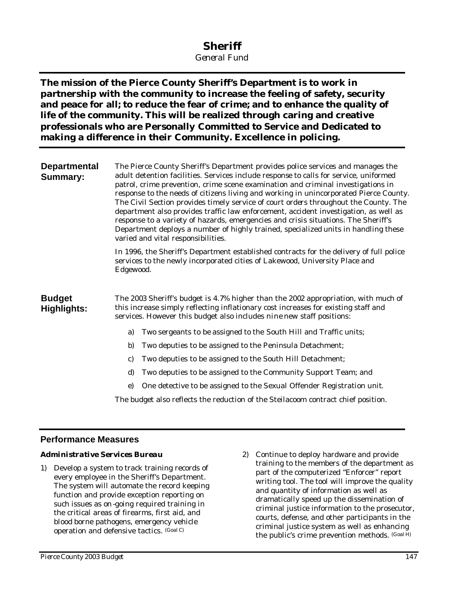## **Sheriff**

*General Fund*

**The mission of the Pierce County Sheriff's Department is to work in partnership with the community to increase the feeling of safety, security and peace for all; to reduce the fear of crime; and to enhance the quality of life of the community. This will be realized through caring and creative professionals who are Personally Committed to Service and Dedicated to making a difference in their Community. Excellence in policing.**

| <b>Departmental</b><br><b>Summary:</b> | The Pierce County Sheriff's Department provides police services and manages the<br>adult detention facilities. Services include response to calls for service, uniformed<br>patrol, crime prevention, crime scene examination and criminal investigations in<br>response to the needs of citizens living and working in unincorporated Pierce County.<br>The Civil Section provides timely service of court orders throughout the County. The<br>department also provides traffic law enforcement, accident investigation, as well as<br>response to a variety of hazards, emergencies and crisis situations. The Sheriff's<br>Department deploys a number of highly trained, specialized units in handling these<br>varied and vital responsibilities. |
|----------------------------------------|---------------------------------------------------------------------------------------------------------------------------------------------------------------------------------------------------------------------------------------------------------------------------------------------------------------------------------------------------------------------------------------------------------------------------------------------------------------------------------------------------------------------------------------------------------------------------------------------------------------------------------------------------------------------------------------------------------------------------------------------------------|
|                                        | In 1996, the Sheriff's Department established contracts for the delivery of full police<br>services to the newly incorporated cities of Lakewood, University Place and<br>Edgewood.                                                                                                                                                                                                                                                                                                                                                                                                                                                                                                                                                                     |
| <b>Budget</b><br><b>Highlights:</b>    | The 2003 Sheriff's budget is 4.7% higher than the 2002 appropriation, with much of<br>this increase simply reflecting inflationary cost increases for existing staff and<br>services. However this budget also includes nine new staff positions:                                                                                                                                                                                                                                                                                                                                                                                                                                                                                                       |
|                                        | Two sergeants to be assigned to the South Hill and Traffic units;<br>a)                                                                                                                                                                                                                                                                                                                                                                                                                                                                                                                                                                                                                                                                                 |
|                                        | b)<br>Two deputies to be assigned to the Peninsula Detachment;                                                                                                                                                                                                                                                                                                                                                                                                                                                                                                                                                                                                                                                                                          |
|                                        | Two deputies to be assigned to the South Hill Detachment;<br>c)                                                                                                                                                                                                                                                                                                                                                                                                                                                                                                                                                                                                                                                                                         |
|                                        | d)<br>Two deputies to be assigned to the Community Support Team; and                                                                                                                                                                                                                                                                                                                                                                                                                                                                                                                                                                                                                                                                                    |
|                                        | One detective to be assigned to the Sexual Offender Registration unit.<br>e)                                                                                                                                                                                                                                                                                                                                                                                                                                                                                                                                                                                                                                                                            |
|                                        | The budget also reflects the reduction of the Steilacoom contract chief position.                                                                                                                                                                                                                                                                                                                                                                                                                                                                                                                                                                                                                                                                       |

### **Performance Measures**

### *Administrative Services Bureau*

- 1) Develop a system to track training records of every employee in the Sheriff's Department. The system will automate the record keeping function and provide exception reporting on such issues as on-going required training in the critical areas of firearms, first aid, and blood borne pathogens, emergency vehicle operation and defensive tactics. (Goal C)
- 2) Continue to deploy hardware and provide training to the members of the department as part of the computerized "Enforcer" report writing tool. The tool will improve the quality and quantity of information as well as dramatically speed up the dissemination of criminal justice information to the prosecutor, courts, defense, and other participants in the criminal justice system as well as enhancing the public's crime prevention methods. (Goal H)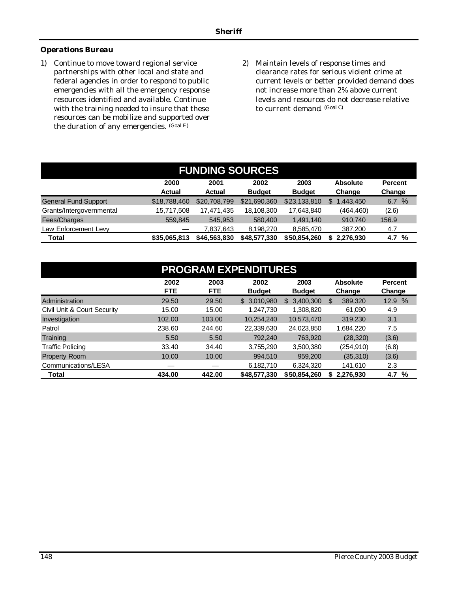### *Operations Bureau*

- 1) Continue to move toward regional service partnerships with other local and state and federal agencies in order to respond to public emergencies with all the emergency response resources identified and available. Continue with the training needed to insure that these resources can be mobilize and supported over the duration of any emergencies. (Goal E)
- 2) Maintain levels of response times and clearance rates for serious violent crime at current levels or better provided demand does not increase more than 2% above current levels and resources do not decrease relative to current demand. (Goal C)

| <b>FUNDING SOURCES</b>      |                       |                       |                       |                       |                           |                          |  |  |  |
|-----------------------------|-----------------------|-----------------------|-----------------------|-----------------------|---------------------------|--------------------------|--|--|--|
|                             | 2000<br><b>Actual</b> | 2001<br><b>Actual</b> | 2002<br><b>Budget</b> | 2003<br><b>Budget</b> | <b>Absolute</b><br>Change | <b>Percent</b><br>Change |  |  |  |
| <b>General Fund Support</b> | \$18,788,460          | \$20,708,799          | \$21,690,360          | \$23,133,810          | 1.443.450<br>\$.          | $\%$<br>6.7              |  |  |  |
| Grants/Intergovernmental    | 15,717,508            | 17,471,435            | 18,108,300            | 17,643,840            | (464, 460)                | (2.6)                    |  |  |  |
| Fees/Charges                | 559.845               | 545.953               | 580,400               | 1.491.140             | 910.740                   | 156.9                    |  |  |  |
| Law Enforcement Levy        |                       | 7,837,643             | 8.198.270             | 8,585,470             | 387,200                   | 4.7                      |  |  |  |
| <b>Total</b>                | \$35,065,813          | \$46,563,830          | \$48,577,330          | \$50,854,260          | 2.276.930<br>S            | %<br>4.7                 |  |  |  |

| <b>PROGRAM EXPENDITURES</b> |            |                                         |               |                  |                |         |  |  |  |
|-----------------------------|------------|-----------------------------------------|---------------|------------------|----------------|---------|--|--|--|
|                             | 2002       | 2003<br>2002<br>2003<br><b>Absolute</b> |               |                  |                |         |  |  |  |
|                             | <b>FTE</b> | <b>FTE</b>                              | <b>Budget</b> | <b>Budget</b>    | Change         | Change  |  |  |  |
| Administration              | 29.50      | 29.50                                   | \$ 3.010.980  | 3,400,300<br>\$. | \$<br>389,320  | 12.9 %  |  |  |  |
| Civil Unit & Court Security | 15.00      | 15.00                                   | 1,247,730     | 1,308,820        | 61.090         | 4.9     |  |  |  |
| Investigation               | 102.00     | 103.00                                  | 10.254.240    | 10,573,470       | 319.230        | 3.1     |  |  |  |
| Patrol                      | 238.60     | 244.60                                  | 22,339,630    | 24,023,850       | 1,684,220      | 7.5     |  |  |  |
| Training                    | 5.50       | 5.50                                    | 792.240       | 763,920          | (28, 320)      | (3.6)   |  |  |  |
| <b>Traffic Policing</b>     | 33.40      | 34.40                                   | 3.755.290     | 3,500,380        | (254, 910)     | (6.8)   |  |  |  |
| <b>Property Room</b>        | 10.00      | 10.00                                   | 994.510       | 959.200          | (35, 310)      | (3.6)   |  |  |  |
| Communications/LESA         |            |                                         | 6,182,710     | 6.324.320        | 141.610        | 2.3     |  |  |  |
| <b>Total</b>                | 434.00     | 442.00                                  | \$48,577,330  | \$50,854,260     | 2,276,930<br>S | 4.7 $%$ |  |  |  |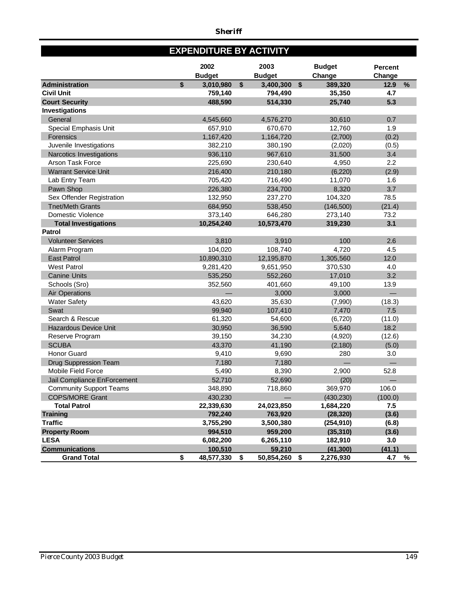## **EXPENDITURE BY ACTIVITY**

|                                             | 2002<br><b>Budget</b>       |            | 2003<br><b>Budget</b> | <b>Budget</b><br>Change      | <b>Percent</b><br>Change |      |
|---------------------------------------------|-----------------------------|------------|-----------------------|------------------------------|--------------------------|------|
| <b>Administration</b>                       | \$<br>3,010,980             | $\sqrt{2}$ | 3,400,300             | \$<br>389,320                | 12.9                     | $\%$ |
| <b>Civil Unit</b>                           | 759,140                     |            | 794,490               | 35,350                       | 4.7                      |      |
| <b>Court Security</b>                       | 488,590                     |            | 514,330               | 25,740                       | 5.3                      |      |
| <b>Investigations</b>                       |                             |            |                       |                              |                          |      |
| General                                     | 4,545,660                   |            | 4,576,270             | 30,610                       | 0.7                      |      |
| Special Emphasis Unit                       | 657,910                     |            | 670,670               | 12,760                       | 1.9                      |      |
| Forensics                                   | 1,167,420                   |            | 1,164,720             | (2,700)                      | (0.2)                    |      |
| Juvenile Investigations                     | 382,210                     |            | 380,190               | (2,020)                      | (0.5)                    |      |
| Narcotics Investigations                    | 936,110                     |            | 967,610               | 31,500                       | 3.4                      |      |
| <b>Arson Task Force</b>                     | 225,690                     |            | 230,640               | 4,950                        | 2.2                      |      |
| <b>Warrant Service Unit</b>                 | 216,400                     |            | 210,180               | (6, 220)                     | (2.9)                    |      |
| Lab Entry Team                              | 705,420                     |            | 716,490               | 11,070                       | 1.6                      |      |
| Pawn Shop                                   | 226,380                     |            | 234,700               | 8,320                        | 3.7                      |      |
| Sex Offender Registration                   | 132,950                     |            | 237,270               | 104,320                      | 78.5                     |      |
| <b>Tnet/Meth Grants</b>                     | 684,950                     |            | 538,450               | (146, 500)                   | (21.4)                   |      |
| Domestic Violence                           | 373,140                     |            | 646,280               | 273,140                      | 73.2                     |      |
| <b>Total Investigations</b>                 | 10,254,240                  |            | 10,573,470            | 319,230                      | 3.1                      |      |
| <b>Patrol</b>                               |                             |            |                       |                              |                          |      |
| <b>Volunteer Services</b>                   | 3,810                       |            | 3,910                 | 100                          | 2.6                      |      |
| Alarm Program                               | 104,020                     |            | 108,740               | 4,720                        | 4.5                      |      |
| <b>East Patrol</b>                          | 10,890,310                  |            | 12,195,870            | 1,305,560                    | 12.0                     |      |
| <b>West Patrol</b>                          | 9,281,420                   |            | 9,651,950             | 370,530                      | 4.0                      |      |
| <b>Canine Units</b>                         | 535,250                     |            | 552,260               | 17,010                       | 3.2                      |      |
| Schools (Sro)                               | 352,560                     |            | 401,660               | 49,100                       | 13.9                     |      |
| <b>Air Operations</b>                       |                             |            | 3,000                 | 3,000                        |                          |      |
| <b>Water Safety</b>                         | 43,620                      |            | 35,630                | (7,990)                      | (18.3)                   |      |
| Swat                                        | 99,940                      |            | 107,410               | 7,470                        | 7.5                      |      |
| Search & Rescue                             | 61,320                      |            | 54,600                | (6,720)                      | (11.0)                   |      |
| <b>Hazardous Device Unit</b>                | 30,950                      |            | 36,590                | 5,640                        | 18.2                     |      |
| Reserve Program                             | 39,150                      |            | 34,230                | (4,920)                      | (12.6)                   |      |
| <b>SCUBA</b>                                | 43,370                      |            | 41,190                | (2, 180)                     | (5.0)                    |      |
| <b>Honor Guard</b>                          | 9,410                       |            | 9,690                 | 280                          | 3.0                      |      |
| <b>Drug Suppression Team</b>                | 7,180                       |            | 7,180                 |                              |                          |      |
| <b>Mobile Field Force</b>                   | 5,490                       |            | 8,390                 | 2,900                        | 52.8                     |      |
| Jail Compliance EnForcement                 | 52,710                      |            | 52,690                | (20)                         |                          |      |
| <b>Community Support Teams</b>              | 348,890                     |            | 718,860               | 369,970                      | 106.0                    |      |
| <b>COPS/MORE Grant</b>                      | 430,230                     |            |                       | (430, 230)                   | (100.0)                  |      |
| <b>Total Patrol</b>                         | 22,339,630                  |            | 24,023,850            | 1,684,220                    | 7.5                      |      |
| <b>Training</b>                             | 792,240                     |            | 763,920               | (28, 320)                    | (3.6)                    |      |
| <b>Traffic</b>                              | 3,755,290                   |            | 3,500,380             | (254, 910)                   | (6.8)                    |      |
| <b>Property Room</b>                        | 994,510                     |            | 959,200               | (35, 310)                    | (3.6)                    |      |
| <b>LESA</b>                                 | 6,082,200                   |            | 6,265,110             | 182,910                      | 3.0                      |      |
| <b>Communications</b><br><b>Grand Total</b> | \$<br>100,510<br>48,577,330 | \$         | 59,210<br>50,854,260  | \$<br>(41, 300)<br>2,276,930 | (41.1)<br>4.7            | $\%$ |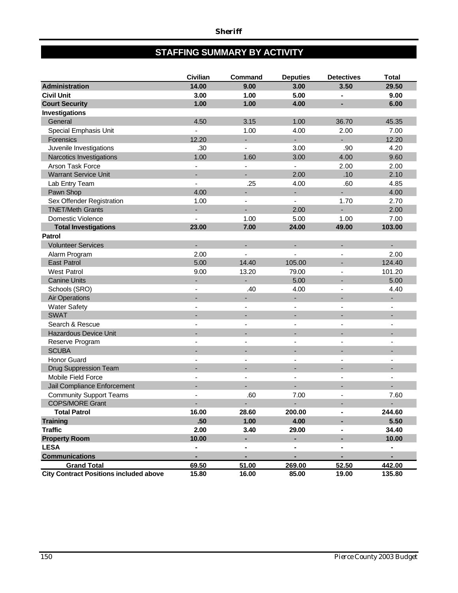## **STAFFING SUMMARY BY ACTIVITY**

|                                               | Civilian       | Command                  | <b>Deputies</b>          | <b>Detectives</b>        | <b>Total</b>             |
|-----------------------------------------------|----------------|--------------------------|--------------------------|--------------------------|--------------------------|
| <b>Administration</b>                         | 14.00          | 9.00                     | 3.00                     | 3.50                     | 29.50                    |
| <b>Civil Unit</b>                             | 3.00           | 1.00                     | 5.00                     | $\blacksquare$           | 9.00                     |
| <b>Court Security</b>                         | 1.00           | 1.00                     | 4.00                     |                          | 6.00                     |
| Investigations                                |                |                          |                          |                          |                          |
| General                                       | 4.50           | 3.15                     | 1.00                     | 36.70                    | 45.35                    |
| Special Emphasis Unit                         |                | 1.00                     | 4.00                     | 2.00                     | 7.00                     |
| Forensics                                     | 12.20          |                          | Ξ                        |                          | 12.20                    |
| Juvenile Investigations                       | .30            |                          | 3.00                     | .90                      | 4.20                     |
| Narcotics Investigations                      | 1.00           | 1.60                     | 3.00                     | 4.00                     | 9.60                     |
| Arson Task Force                              |                | $\overline{\phantom{a}}$ | $\blacksquare$           | 2.00                     | 2.00                     |
| <b>Warrant Service Unit</b>                   | ÷.             | $\blacksquare$           | 2.00                     | .10                      | 2.10                     |
| Lab Entry Team                                | ÷,             | .25                      | 4.00                     | .60                      | 4.85                     |
| Pawn Shop                                     | 4.00           | $\blacksquare$           | ÷.                       | ÷,                       | 4.00                     |
| Sex Offender Registration                     | 1.00           | $\blacksquare$           | ä,                       | 1.70                     | 2.70                     |
| <b>TNET/Meth Grants</b>                       | ÷              | $\sim$                   | 2.00                     | ÷                        | 2.00                     |
| Domestic Violence                             | $\blacksquare$ | 1.00                     | 5.00                     | 1.00                     | 7.00                     |
| <b>Total Investigations</b>                   | 23.00          | 7.00                     | 24.00                    | 49.00                    | 103.00                   |
| <b>Patrol</b>                                 |                |                          |                          |                          |                          |
| <b>Volunteer Services</b>                     | ÷.             | $\overline{\phantom{a}}$ | ÷,                       |                          |                          |
| Alarm Program                                 | 2.00           | $\overline{\phantom{a}}$ | ÷,                       | $\blacksquare$           | 2.00                     |
| <b>East Patrol</b>                            | 5.00           | 14.40                    | 105.00                   |                          | 124.40                   |
| <b>West Patrol</b>                            | 9.00           | 13.20                    | 79.00                    | $\overline{\phantom{a}}$ | 101.20                   |
| <b>Canine Units</b>                           |                | $\overline{\phantom{a}}$ | 5.00                     |                          | 5.00                     |
| Schools (SRO)                                 | $\blacksquare$ | .40                      | 4.00                     |                          | 4.40                     |
| <b>Air Operations</b>                         | $\overline{a}$ | $\overline{\phantom{a}}$ | ۰                        | ٠                        |                          |
| <b>Water Safety</b>                           |                | $\overline{\phantom{a}}$ | $\blacksquare$           |                          |                          |
| <b>SWAT</b>                                   |                |                          | ÷                        |                          |                          |
| Search & Rescue                               |                | ٠                        | $\overline{\phantom{a}}$ |                          | ٠                        |
| <b>Hazardous Device Unit</b>                  |                |                          |                          |                          |                          |
| Reserve Program                               |                |                          | $\overline{\phantom{a}}$ |                          | $\overline{\phantom{a}}$ |
| <b>SCUBA</b>                                  |                |                          | ÷                        | $\overline{a}$           |                          |
| <b>Honor Guard</b>                            |                |                          | ٠                        |                          | -                        |
| Drug Suppression Team                         |                |                          | ÷                        |                          |                          |
| Mobile Field Force                            |                | $\overline{\phantom{a}}$ | $\overline{\phantom{a}}$ | $\overline{\phantom{a}}$ | $\overline{\phantom{a}}$ |
| Jail Compliance Enforcement                   |                |                          | ÷,                       | $\overline{\phantom{a}}$ |                          |
| <b>Community Support Teams</b>                |                | .60                      | 7.00                     | $\overline{\phantom{a}}$ | 7.60                     |
| <b>COPS/MORE Grant</b>                        |                | ۰                        | ٠                        |                          |                          |
| <b>Total Patrol</b>                           | 16.00          | 28.60                    | 200.00                   | $\blacksquare$           | 244.60                   |
| <b>Training</b>                               | .50            | 1.00                     | 4.00                     |                          | 5.50                     |
| <b>Traffic</b>                                | 2.00           | 3.40                     | 29.00                    |                          | 34.40                    |
| <b>Property Room</b>                          | 10.00          | $\blacksquare$           | $\blacksquare$           | ٠                        | 10.00                    |
| <b>LESA</b>                                   | $\blacksquare$ | $\blacksquare$           | $\blacksquare$           | $\blacksquare$           | $\blacksquare$           |
| <b>Communications</b>                         | $\blacksquare$ | ٠                        | ۰                        | ٠                        | $\blacksquare$           |
| <b>Grand Total</b>                            | 69.50          | 51.00                    | 269.00                   | 52.50                    | 442.00                   |
| <b>City Contract Positions included above</b> | 15.80          | 16.00                    | 85.00                    | 19.00                    | 135.80                   |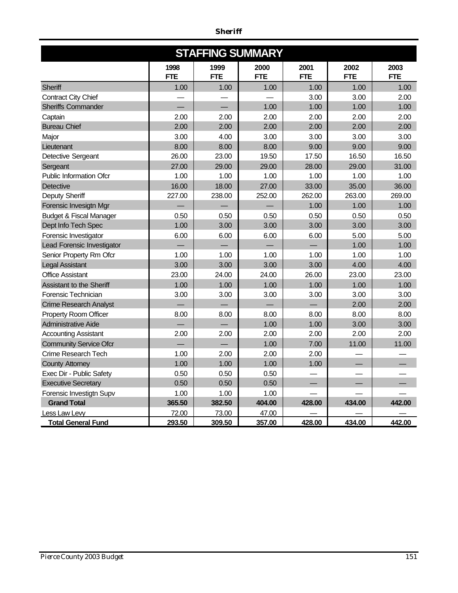|                                    |                    |                    | <b>STAFFING SUMMARY</b> |                    |                    |                    |
|------------------------------------|--------------------|--------------------|-------------------------|--------------------|--------------------|--------------------|
|                                    | 1998<br><b>FTE</b> | 1999<br><b>FTE</b> | 2000<br><b>FTE</b>      | 2001<br><b>FTE</b> | 2002<br><b>FTE</b> | 2003<br><b>FTE</b> |
| Sheriff                            | 1.00               | 1.00               | 1.00                    | 1.00               | 1.00               | 1.00               |
| <b>Contract City Chief</b>         |                    |                    |                         | 3.00               | 3.00               | 2.00               |
| <b>Sheriffs Commander</b>          |                    |                    | 1.00                    | 1.00               | 1.00               | 1.00               |
| Captain                            | 2.00               | 2.00               | 2.00                    | 2.00               | 2.00               | 2.00               |
| <b>Bureau Chief</b>                | 2.00               | 2.00               | 2.00                    | 2.00               | 2.00               | 2.00               |
| Major                              | 3.00               | 4.00               | 3.00                    | 3.00               | 3.00               | 3.00               |
| Lieutenant                         | 8.00               | 8.00               | 8.00                    | 9.00               | 9.00               | 9.00               |
| Detective Sergeant                 | 26.00              | 23.00              | 19.50                   | 17.50              | 16.50              | 16.50              |
| Sergeant                           | 27.00              | 29.00              | 29.00                   | 28.00              | 29.00              | 31.00              |
| <b>Public Information Ofcr</b>     | 1.00               | 1.00               | 1.00                    | 1.00               | 1.00               | 1.00               |
| Detective                          | 16.00              | 18.00              | 27.00                   | 33.00              | 35.00              | 36.00              |
| Deputy Sheriff                     | 227.00             | 238.00             | 252.00                  | 262.00             | 263.00             | 269.00             |
| Forensic Invesigtn Mgr             |                    |                    |                         | 1.00               | 1.00               | 1.00               |
| <b>Budget &amp; Fiscal Manager</b> | 0.50               | 0.50               | 0.50                    | 0.50               | 0.50               | 0.50               |
| Dept Info Tech Spec                | 1.00               | 3.00               | 3.00                    | 3.00               | 3.00               | 3.00               |
| Forensic Investigator              | 6.00               | 6.00               | 6.00                    | 6.00               | 5.00               | 5.00               |
| Lead Forensic Investigator         |                    |                    |                         |                    | 1.00               | 1.00               |
| Senior Property Rm Ofcr            | 1.00               | 1.00               | 1.00                    | 1.00               | 1.00               | 1.00               |
| <b>Legal Assistant</b>             | 3.00               | 3.00               | 3.00                    | 3.00               | 4.00               | 4.00               |
| <b>Office Assistant</b>            | 23.00              | 24.00              | 24.00                   | 26.00              | 23.00              | 23.00              |
| Assistant to the Sheriff           | 1.00               | 1.00               | 1.00                    | 1.00               | 1.00               | 1.00               |
| Forensic Technician                | 3.00               | 3.00               | 3.00                    | 3.00               | 3.00               | 3.00               |
| <b>Crime Research Analyst</b>      |                    |                    |                         |                    | 2.00               | 2.00               |
| Property Room Officer              | 8.00               | 8.00               | 8.00                    | 8.00               | 8.00               | 8.00               |
| <b>Administrative Aide</b>         |                    |                    | 1.00                    | 1.00               | 3.00               | 3.00               |
| <b>Accounting Assistant</b>        | 2.00               | 2.00               | 2.00                    | 2.00               | 2.00               | 2.00               |
| <b>Community Service Ofcr</b>      |                    |                    | 1.00                    | 7.00               | 11.00              | 11.00              |
| Crime Research Tech                | 1.00               | 2.00               | 2.00                    | 2.00               |                    |                    |
| <b>County Attorney</b>             | 1.00               | 1.00               | 1.00                    | 1.00               |                    |                    |
| Exec Dir - Public Safety           | 0.50               | 0.50               | 0.50                    |                    |                    |                    |
| <b>Executive Secretary</b>         | 0.50               | 0.50               | 0.50                    |                    |                    |                    |
| Forensic Investigtn Supv           | 1.00               | 1.00               | 1.00                    |                    |                    |                    |
| <b>Grand Total</b>                 | 365.50             | 382.50             | 404.00                  | 428.00             | 434.00             | 442.00             |
| Less Law Levy                      | 72.00              | 73.00              | 47.00                   |                    |                    |                    |
| <b>Total General Fund</b>          | 293.50             | 309.50             | 357.00                  | 428.00             | 434.00             | 442.00             |

### *Sheriff*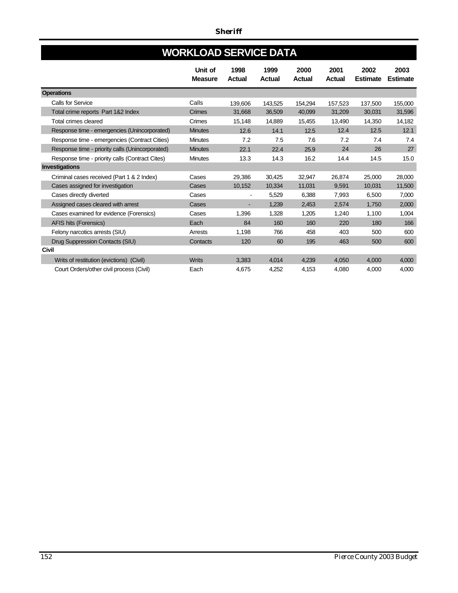# **WORKLOAD SERVICE DATA**

|                                                 | Unit of<br><b>Measure</b> | 1998<br><b>Actual</b> | 1999<br><b>Actual</b> | 2000<br><b>Actual</b> | 2001<br><b>Actual</b> | 2002<br><b>Estimate</b> | 2003<br><b>Estimate</b> |
|-------------------------------------------------|---------------------------|-----------------------|-----------------------|-----------------------|-----------------------|-------------------------|-------------------------|
| <b>Operations</b>                               |                           |                       |                       |                       |                       |                         |                         |
| Calls for Service                               | Calls                     | 139,606               | 143,525               | 154,294               | 157,523               | 137.500                 | 155,000                 |
| Total crime reports Part 1&2 Index              | Crimes                    | 31,668                | 36,509                | 40,099                | 31,209                | 30,031                  | 31,596                  |
| <b>Total crimes cleared</b>                     | Crimes                    | 15,148                | 14,889                | 15,455                | 13,490                | 14.350                  | 14,182                  |
| Response time - emergencies (Unincorporated)    | <b>Minutes</b>            | 12.6                  | 14.1                  | 12.5                  | 12.4                  | 12.5                    | 12.1                    |
| Response time - emergencies (Contract Cities)   | <b>Minutes</b>            | 7.2                   | 7.5                   | 7.6                   | 7.2                   | 7.4                     | 7.4                     |
| Response time - priority calls (Unincorporated) | <b>Minutes</b>            | 22.1                  | 22.4                  | 25.9                  | 24                    | 26                      | 27                      |
| Response time - priority calls (Contract Cites) | <b>Minutes</b>            | 13.3                  | 14.3                  | 16.2                  | 14.4                  | 14.5                    | 15.0                    |
| Investigations                                  |                           |                       |                       |                       |                       |                         |                         |
| Criminal cases received (Part 1 & 2 Index)      | Cases                     | 29,386                | 30,425                | 32,947                | 26,874                | 25,000                  | 28,000                  |
| Cases assigned for investigation                | Cases                     | 10,152                | 10,334                | 11,031                | 9,591                 | 10.031                  | 11,500                  |
| Cases directly diverted                         | Cases                     |                       | 5,529                 | 6,388                 | 7,993                 | 6,500                   | 7,000                   |
| Assigned cases cleared with arrest              | Cases                     |                       | 1.239                 | 2,453                 | 2.574                 | 1.750                   | 2,000                   |
| Cases examined for evidence (Forensics)         | Cases                     | 1,396                 | 1,328                 | 1,205                 | 1,240                 | 1,100                   | 1,004                   |
| AFIS hits (Forensics)                           | Each                      | 84                    | 160                   | 160                   | 220                   | 180                     | 166                     |
| Felony narcotics arrests (SIU)                  | Arrests                   | 1,198                 | 766                   | 458                   | 403                   | 500                     | 600                     |
| Drug Suppression Contacts (SIU)                 | Contacts                  | 120                   | 60                    | 195                   | 463                   | 500                     | 600                     |
| <b>Civil</b>                                    |                           |                       |                       |                       |                       |                         |                         |
| Writs of restitution (evictions) (Civil)        | <b>Writs</b>              | 3,383                 | 4,014                 | 4,239                 | 4.050                 | 4,000                   | 4,000                   |
| Court Orders/other civil process (Civil)        | Each                      | 4,675                 | 4,252                 | 4,153                 | 4,080                 | 4,000                   | 4,000                   |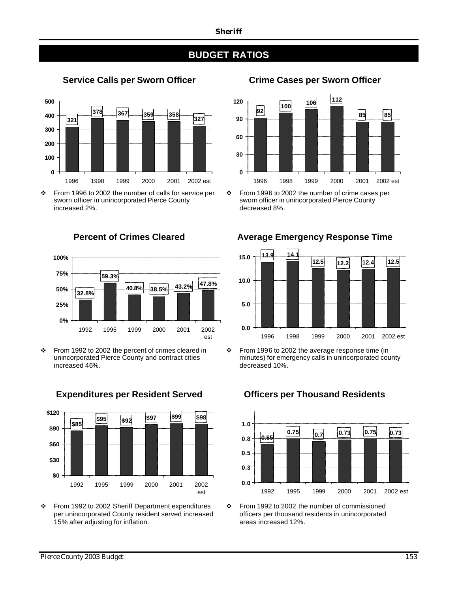## **BUDGET RATIOS**

**Service Calls per Sworn Officer Crime Cases per Sworn Officer**



v From 1996 to 2002 the number of calls for service per sworn officer in unincorporated Pierce County increased 2%.



v From 1992 to 2002 the percent of crimes cleared in unincorporated Pierce County and contract cities increased 46%.



\* From 1992 to 2002 Sheriff Department expenditures per unincorporated County resident served increased 15% after adjusting for inflation.



 $\div$  From 1996 to 2002 the number of crime cases per sworn officer in unincorporated Pierce County decreased 8%.



 $\div$  From 1996 to 2002 the average response time (in minutes) for emergency calls in unincorporated county decreased 10%.

### **0.65 0.75 0.7 0.73 0.75 0.73 0.0 0.3 0.5 0.8 1.0** 1992 1995 1999 2000 2001 2002 est

v From 1992 to 2002 the number of commissioned officers per thousand residents in unincorporated areas increased 12%.

## **Percent of Crimes Cleared Average Emergency Response Time**

## **Expenditures per Resident Served Officers per Thousand Residents**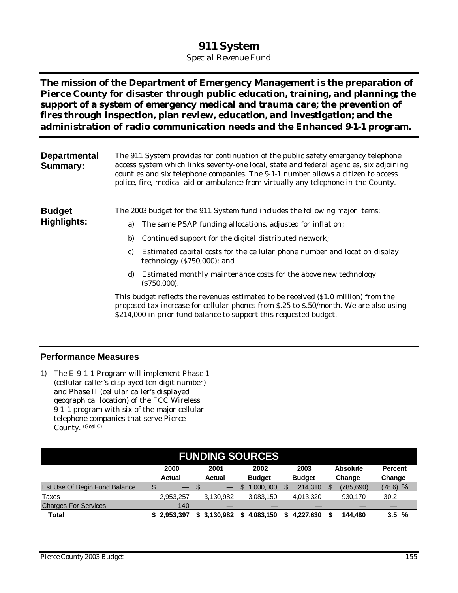## **911 System**

*Special Revenue Fund*

**The mission of the Department of Emergency Management is the preparation of Pierce County for disaster through public education, training, and planning; the support of a system of emergency medical and trauma care; the prevention of fires through inspection, plan review, education, and investigation; and the administration of radio communication needs and the Enhanced 9-1-1 program.** 

| <b>Departmental</b><br><b>Summary:</b> | The 911 System provides for continuation of the public safety emergency telephone<br>access system which links seventy-one local, state and federal agencies, six adjoining<br>counties and six telephone companies. The 9-1-1 number allows a citizen to access<br>police, fire, medical aid or ambulance from virtually any telephone in the County.                                                                                                                                                                                                                                                                                                                              |  |  |  |  |  |  |
|----------------------------------------|-------------------------------------------------------------------------------------------------------------------------------------------------------------------------------------------------------------------------------------------------------------------------------------------------------------------------------------------------------------------------------------------------------------------------------------------------------------------------------------------------------------------------------------------------------------------------------------------------------------------------------------------------------------------------------------|--|--|--|--|--|--|
| <b>Budget</b><br><b>Highlights:</b>    | The 2003 budget for the 911 System fund includes the following major items:<br>The same PSAP funding allocations, adjusted for inflation;<br>a)<br>b)<br>Continued support for the digital distributed network;<br>Estimated capital costs for the cellular phone number and location display<br>C)<br>technology $(8750,000)$ ; and<br>Estimated monthly maintenance costs for the above new technology<br>d)<br>(S750,000).<br>This budget reflects the revenues estimated to be received (\$1.0 million) from the<br>proposed tax increase for cellular phones from \$.25 to \$.50/month. We are also using<br>\$214,000 in prior fund balance to support this requested budget. |  |  |  |  |  |  |

### **Performance Measures**

1) The E-9-1-1 Program will implement Phase 1 (cellular caller's displayed ten digit number) and Phase II (cellular caller's displayed geographical location) of the FCC Wireless 9-1-1 program with six of the major cellular telephone companies that serve Pierce County. (Goal C)

| <b>FUNDING SOURCES</b>        |                                |                       |                       |                       |                           |                                |  |  |
|-------------------------------|--------------------------------|-----------------------|-----------------------|-----------------------|---------------------------|--------------------------------|--|--|
|                               | 2000<br><b>Actual</b>          | 2001<br><b>Actual</b> | 2002<br><b>Budget</b> | 2003<br><b>Budget</b> | <b>Absolute</b><br>Change | <b>Percent</b><br>Change       |  |  |
| Est Use Of Begin Fund Balance | \$<br>$\overline{\phantom{0}}$ | - S                   | 1.000.000<br>\$.      | 214.310               | (785.690)                 | $(78.6)$ %                     |  |  |
| Taxes                         | 2,953,257                      | 3.130.982             | 3.083.150             | 4.013.320             | 930.170                   | 30.2                           |  |  |
| <b>Charges For Services</b>   | 140                            |                       |                       |                       |                           |                                |  |  |
| <b>Total</b>                  | \$2.953.397                    | 3,130,982<br>\$       | 4,083,150<br>\$       | 4.227.630             | 144.480                   | $\frac{9}{6}$<br>$3.5^{\circ}$ |  |  |